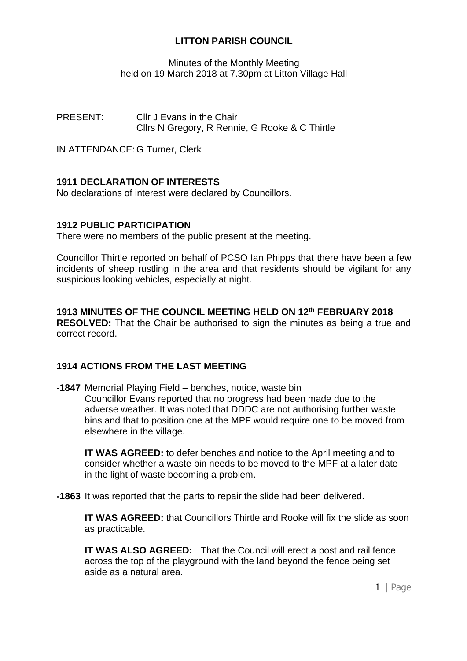Minutes of the Monthly Meeting held on 19 March 2018 at 7.30pm at Litton Village Hall

PRESENT: Cllr J Evans in the Chair Cllrs N Gregory, R Rennie, G Rooke & C Thirtle

IN ATTENDANCE: G Turner, Clerk

# **1911 DECLARATION OF INTERESTS**

No declarations of interest were declared by Councillors.

# **1912 PUBLIC PARTICIPATION**

There were no members of the public present at the meeting.

Councillor Thirtle reported on behalf of PCSO Ian Phipps that there have been a few incidents of sheep rustling in the area and that residents should be vigilant for any suspicious looking vehicles, especially at night.

# **1913 MINUTES OF THE COUNCIL MEETING HELD ON 12th FEBRUARY 2018**

**RESOLVED:** That the Chair be authorised to sign the minutes as being a true and correct record.

# **1914 ACTIONS FROM THE LAST MEETING**

**-1847** Memorial Playing Field – benches, notice, waste bin Councillor Evans reported that no progress had been made due to the adverse weather. It was noted that DDDC are not authorising further waste bins and that to position one at the MPF would require one to be moved from elsewhere in the village.

**IT WAS AGREED:** to defer benches and notice to the April meeting and to consider whether a waste bin needs to be moved to the MPF at a later date in the light of waste becoming a problem.

**-1863** It was reported that the parts to repair the slide had been delivered.

**IT WAS AGREED:** that Councillors Thirtle and Rooke will fix the slide as soon as practicable.

**IT WAS ALSO AGREED:** That the Council will erect a post and rail fence across the top of the playground with the land beyond the fence being set aside as a natural area.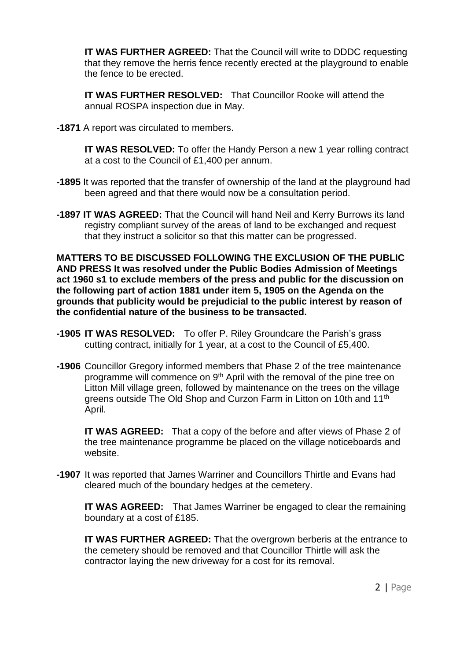**IT WAS FURTHER AGREED:** That the Council will write to DDDC requesting that they remove the herris fence recently erected at the playground to enable the fence to be erected.

**IT WAS FURTHER RESOLVED:** That Councillor Rooke will attend the annual ROSPA inspection due in May.

**-1871** A report was circulated to members.

**IT WAS RESOLVED:** To offer the Handy Person a new 1 year rolling contract at a cost to the Council of £1,400 per annum.

- **-1895** It was reported that the transfer of ownership of the land at the playground had been agreed and that there would now be a consultation period.
- **-1897 IT WAS AGREED:** That the Council will hand Neil and Kerry Burrows its land registry compliant survey of the areas of land to be exchanged and request that they instruct a solicitor so that this matter can be progressed.

**MATTERS TO BE DISCUSSED FOLLOWING THE EXCLUSION OF THE PUBLIC AND PRESS It was resolved under the Public Bodies Admission of Meetings act 1960 s1 to exclude members of the press and public for the discussion on the following part of action 1881 under item 5, 1905 on the Agenda on the grounds that publicity would be prejudicial to the public interest by reason of the confidential nature of the business to be transacted.**

- **-1905 IT WAS RESOLVED:** To offer P. Riley Groundcare the Parish's grass cutting contract, initially for 1 year, at a cost to the Council of £5,400.
- **-1906** Councillor Gregory informed members that Phase 2 of the tree maintenance programme will commence on 9th April with the removal of the pine tree on Litton Mill village green, followed by maintenance on the trees on the village greens outside The Old Shop and Curzon Farm in Litton on 10th and 11<sup>th</sup> April.

**IT WAS AGREED:** That a copy of the before and after views of Phase 2 of the tree maintenance programme be placed on the village noticeboards and website.

**-1907** It was reported that James Warriner and Councillors Thirtle and Evans had cleared much of the boundary hedges at the cemetery.

**IT WAS AGREED:** That James Warriner be engaged to clear the remaining boundary at a cost of £185.

**IT WAS FURTHER AGREED:** That the overgrown berberis at the entrance to the cemetery should be removed and that Councillor Thirtle will ask the contractor laying the new driveway for a cost for its removal.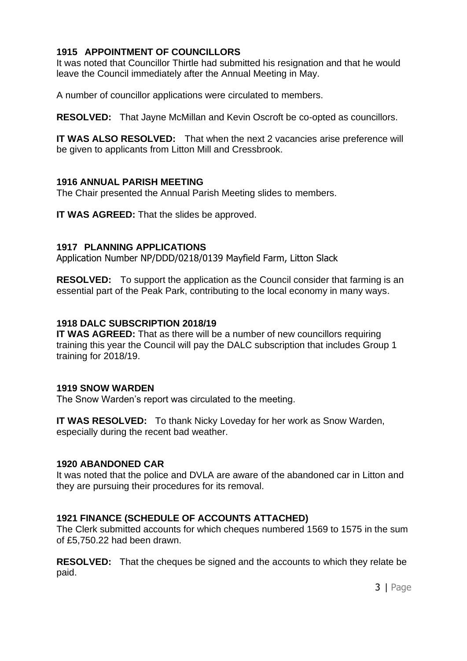# **1915 APPOINTMENT OF COUNCILLORS**

It was noted that Councillor Thirtle had submitted his resignation and that he would leave the Council immediately after the Annual Meeting in May.

A number of councillor applications were circulated to members.

**RESOLVED:** That Jayne McMillan and Kevin Oscroft be co-opted as councillors.

**IT WAS ALSO RESOLVED:** That when the next 2 vacancies arise preference will be given to applicants from Litton Mill and Cressbrook.

# **1916 ANNUAL PARISH MEETING**

The Chair presented the Annual Parish Meeting slides to members.

**IT WAS AGREED:** That the slides be approved.

# **1917 PLANNING APPLICATIONS**

Application Number NP/DDD/0218/0139 Mayfield Farm, Litton Slack

**RESOLVED:** To support the application as the Council consider that farming is an essential part of the Peak Park, contributing to the local economy in many ways.

# **1918 DALC SUBSCRIPTION 2018/19**

**IT WAS AGREED:** That as there will be a number of new councillors requiring training this year the Council will pay the DALC subscription that includes Group 1 training for 2018/19.

# **1919 SNOW WARDEN**

The Snow Warden's report was circulated to the meeting.

**IT WAS RESOLVED:** To thank Nicky Loveday for her work as Snow Warden, especially during the recent bad weather.

# **1920 ABANDONED CAR**

It was noted that the police and DVLA are aware of the abandoned car in Litton and they are pursuing their procedures for its removal.

# **1921 FINANCE (SCHEDULE OF ACCOUNTS ATTACHED)**

The Clerk submitted accounts for which cheques numbered 1569 to 1575 in the sum of £5,750.22 had been drawn.

**RESOLVED:** That the cheques be signed and the accounts to which they relate be paid.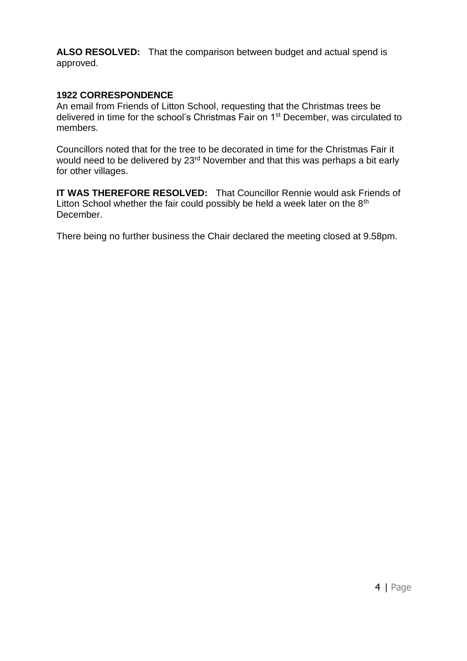**ALSO RESOLVED:** That the comparison between budget and actual spend is approved.

### **1922 CORRESPONDENCE**

An email from Friends of Litton School, requesting that the Christmas trees be delivered in time for the school's Christmas Fair on 1st December, was circulated to members.

Councillors noted that for the tree to be decorated in time for the Christmas Fair it would need to be delivered by 23<sup>rd</sup> November and that this was perhaps a bit early for other villages.

**IT WAS THEREFORE RESOLVED:** That Councillor Rennie would ask Friends of Litton School whether the fair could possibly be held a week later on the 8<sup>th</sup> December.

There being no further business the Chair declared the meeting closed at 9.58pm.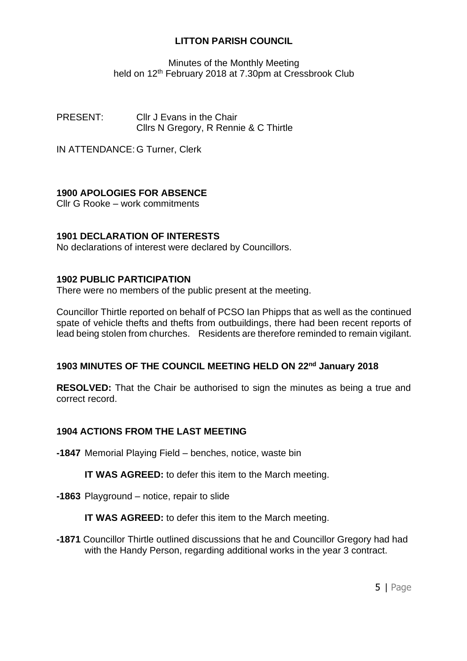Minutes of the Monthly Meeting held on 12<sup>th</sup> February 2018 at 7.30pm at Cressbrook Club

PRESENT: Cllr J Evans in the Chair Cllrs N Gregory, R Rennie & C Thirtle

IN ATTENDANCE: G Turner, Clerk

# **1900 APOLOGIES FOR ABSENCE**

Cllr G Rooke – work commitments

# **1901 DECLARATION OF INTERESTS**

No declarations of interest were declared by Councillors.

# **1902 PUBLIC PARTICIPATION**

There were no members of the public present at the meeting.

Councillor Thirtle reported on behalf of PCSO Ian Phipps that as well as the continued spate of vehicle thefts and thefts from outbuildings, there had been recent reports of lead being stolen from churches. Residents are therefore reminded to remain vigilant.

# **1903 MINUTES OF THE COUNCIL MEETING HELD ON 22 nd January 2018**

**RESOLVED:** That the Chair be authorised to sign the minutes as being a true and correct record.

# **1904 ACTIONS FROM THE LAST MEETING**

**-1847** Memorial Playing Field – benches, notice, waste bin

**IT WAS AGREED:** to defer this item to the March meeting.

**-1863** Playground – notice, repair to slide

**IT WAS AGREED:** to defer this item to the March meeting.

**-1871** Councillor Thirtle outlined discussions that he and Councillor Gregory had had with the Handy Person, regarding additional works in the year 3 contract.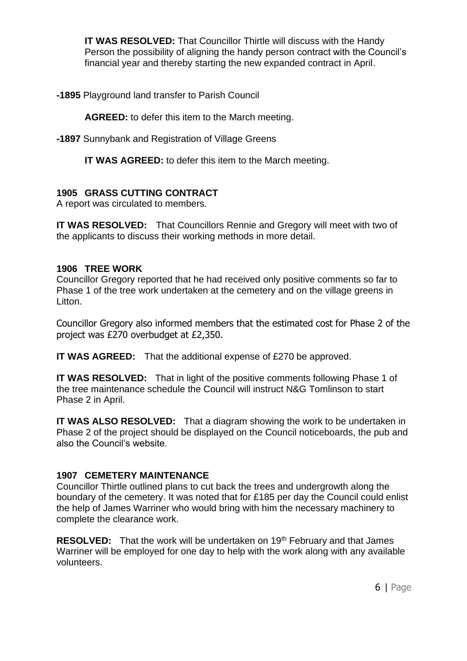**IT WAS RESOLVED:** That Councillor Thirtle will discuss with the Handy Person the possibility of aligning the handy person contract with the Council's financial year and thereby starting the new expanded contract in April.

**-1895** Playground land transfer to Parish Council

**AGREED:** to defer this item to the March meeting.

**-1897** Sunnybank and Registration of Village Greens

**IT WAS AGREED:** to defer this item to the March meeting.

# **1905 GRASS CUTTING CONTRACT**

A report was circulated to members.

**IT WAS RESOLVED:** That Councillors Rennie and Gregory will meet with two of the applicants to discuss their working methods in more detail.

# **1906 TREE WORK**

Councillor Gregory reported that he had received only positive comments so far to Phase 1 of the tree work undertaken at the cemetery and on the village greens in Litton.

Councillor Gregory also informed members that the estimated cost for Phase 2 of the project was £270 overbudget at £2,350.

**IT WAS AGREED:** That the additional expense of £270 be approved.

**IT WAS RESOLVED:** That in light of the positive comments following Phase 1 of the tree maintenance schedule the Council will instruct N&G Tomlinson to start Phase 2 in April.

**IT WAS ALSO RESOLVED:** That a diagram showing the work to be undertaken in Phase 2 of the project should be displayed on the Council noticeboards, the pub and also the Council's website.

# **1907 CEMETERY MAINTENANCE**

Councillor Thirtle outlined plans to cut back the trees and undergrowth along the boundary of the cemetery. It was noted that for £185 per day the Council could enlist the help of James Warriner who would bring with him the necessary machinery to complete the clearance work.

**RESOLVED:** That the work will be undertaken on 19<sup>th</sup> February and that James Warriner will be employed for one day to help with the work along with any available volunteers.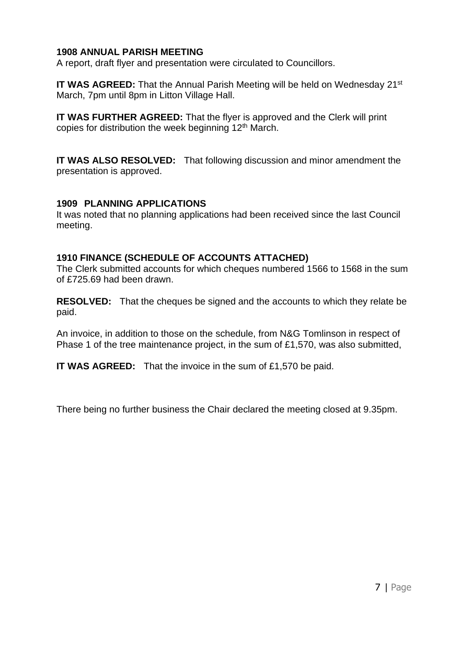# **1908 ANNUAL PARISH MEETING**

A report, draft flyer and presentation were circulated to Councillors.

**IT WAS AGREED:** That the Annual Parish Meeting will be held on Wednesday 21<sup>st</sup> March, 7pm until 8pm in Litton Village Hall.

**IT WAS FURTHER AGREED:** That the flyer is approved and the Clerk will print copies for distribution the week beginning 12<sup>th</sup> March.

**IT WAS ALSO RESOLVED:** That following discussion and minor amendment the presentation is approved.

# **1909 PLANNING APPLICATIONS**

It was noted that no planning applications had been received since the last Council meeting.

# **1910 FINANCE (SCHEDULE OF ACCOUNTS ATTACHED)**

The Clerk submitted accounts for which cheques numbered 1566 to 1568 in the sum of £725.69 had been drawn.

**RESOLVED:** That the cheques be signed and the accounts to which they relate be paid.

An invoice, in addition to those on the schedule, from N&G Tomlinson in respect of Phase 1 of the tree maintenance project, in the sum of £1,570, was also submitted,

**IT WAS AGREED:** That the invoice in the sum of £1,570 be paid.

There being no further business the Chair declared the meeting closed at 9.35pm.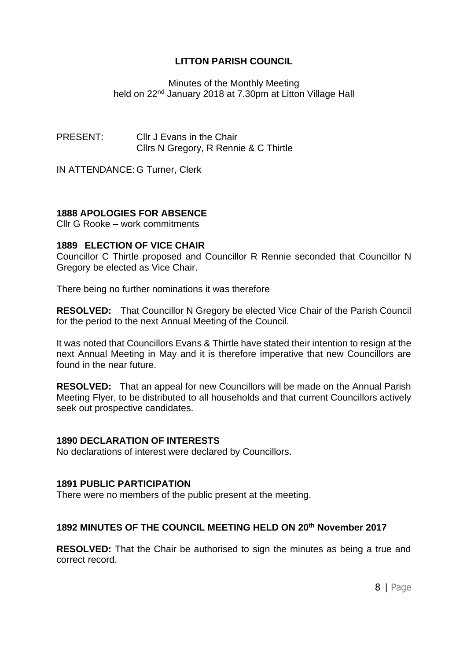Minutes of the Monthly Meeting held on 22<sup>nd</sup> January 2018 at 7.30pm at Litton Village Hall

PRESENT: Cllr J Evans in the Chair Cllrs N Gregory, R Rennie & C Thirtle

IN ATTENDANCE: G Turner, Clerk

# **1888 APOLOGIES FOR ABSENCE**

Cllr G Rooke – work commitments

# **1889 ELECTION OF VICE CHAIR**

Councillor C Thirtle proposed and Councillor R Rennie seconded that Councillor N Gregory be elected as Vice Chair.

There being no further nominations it was therefore

**RESOLVED:** That Councillor N Gregory be elected Vice Chair of the Parish Council for the period to the next Annual Meeting of the Council.

It was noted that Councillors Evans & Thirtle have stated their intention to resign at the next Annual Meeting in May and it is therefore imperative that new Councillors are found in the near future.

**RESOLVED:** That an appeal for new Councillors will be made on the Annual Parish Meeting Flyer, to be distributed to all households and that current Councillors actively seek out prospective candidates.

#### **1890 DECLARATION OF INTERESTS**

No declarations of interest were declared by Councillors.

#### **1891 PUBLIC PARTICIPATION**

There were no members of the public present at the meeting.

### **1892 MINUTES OF THE COUNCIL MEETING HELD ON 20th November 2017**

**RESOLVED:** That the Chair be authorised to sign the minutes as being a true and correct record.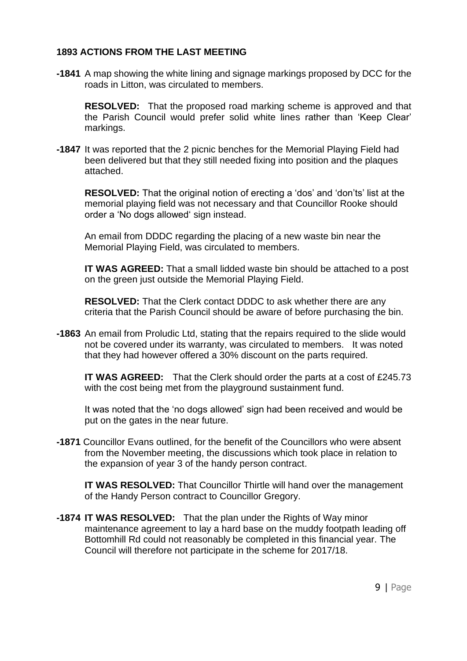# **1893 ACTIONS FROM THE LAST MEETING**

**-1841** A map showing the white lining and signage markings proposed by DCC for the roads in Litton, was circulated to members.

**RESOLVED:** That the proposed road marking scheme is approved and that the Parish Council would prefer solid white lines rather than 'Keep Clear' markings.

**-1847** It was reported that the 2 picnic benches for the Memorial Playing Field had been delivered but that they still needed fixing into position and the plaques attached.

**RESOLVED:** That the original notion of erecting a 'dos' and 'don'ts' list at the memorial playing field was not necessary and that Councillor Rooke should order a 'No dogs allowed' sign instead.

An email from DDDC regarding the placing of a new waste bin near the Memorial Playing Field, was circulated to members.

**IT WAS AGREED:** That a small lidded waste bin should be attached to a post on the green just outside the Memorial Playing Field.

**RESOLVED:** That the Clerk contact DDDC to ask whether there are any criteria that the Parish Council should be aware of before purchasing the bin.

**-1863** An email from Proludic Ltd, stating that the repairs required to the slide would not be covered under its warranty, was circulated to members. It was noted that they had however offered a 30% discount on the parts required.

**IT WAS AGREED:** That the Clerk should order the parts at a cost of £245.73 with the cost being met from the playground sustainment fund.

It was noted that the 'no dogs allowed' sign had been received and would be put on the gates in the near future.

**-1871** Councillor Evans outlined, for the benefit of the Councillors who were absent from the November meeting, the discussions which took place in relation to the expansion of year 3 of the handy person contract.

**IT WAS RESOLVED:** That Councillor Thirtle will hand over the management of the Handy Person contract to Councillor Gregory.

**-1874 IT WAS RESOLVED:** That the plan under the Rights of Way minor maintenance agreement to lay a hard base on the muddy footpath leading off Bottomhill Rd could not reasonably be completed in this financial year. The Council will therefore not participate in the scheme for 2017/18.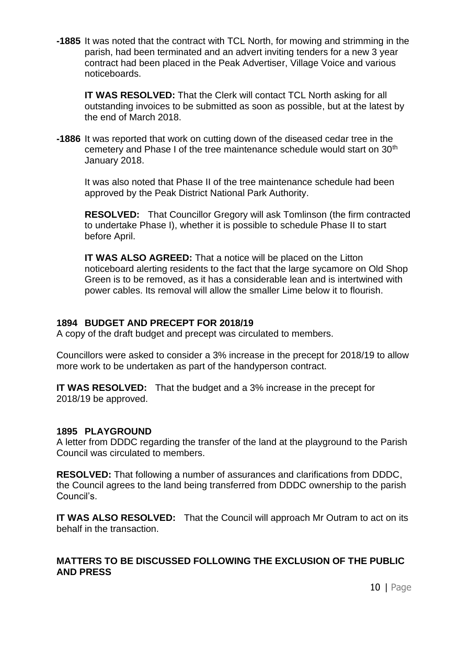**-1885** It was noted that the contract with TCL North, for mowing and strimming in the parish, had been terminated and an advert inviting tenders for a new 3 year contract had been placed in the Peak Advertiser, Village Voice and various noticeboards.

**IT WAS RESOLVED:** That the Clerk will contact TCL North asking for all outstanding invoices to be submitted as soon as possible, but at the latest by the end of March 2018.

**-1886** It was reported that work on cutting down of the diseased cedar tree in the cemetery and Phase I of the tree maintenance schedule would start on 30<sup>th</sup> January 2018.

It was also noted that Phase II of the tree maintenance schedule had been approved by the Peak District National Park Authority.

**RESOLVED:** That Councillor Gregory will ask Tomlinson (the firm contracted to undertake Phase I), whether it is possible to schedule Phase II to start before April.

**IT WAS ALSO AGREED:** That a notice will be placed on the Litton noticeboard alerting residents to the fact that the large sycamore on Old Shop Green is to be removed, as it has a considerable lean and is intertwined with power cables. Its removal will allow the smaller Lime below it to flourish.

# **1894 BUDGET AND PRECEPT FOR 2018/19**

A copy of the draft budget and precept was circulated to members.

Councillors were asked to consider a 3% increase in the precept for 2018/19 to allow more work to be undertaken as part of the handyperson contract.

**IT WAS RESOLVED:** That the budget and a 3% increase in the precept for 2018/19 be approved.

# **1895 PLAYGROUND**

A letter from DDDC regarding the transfer of the land at the playground to the Parish Council was circulated to members.

**RESOLVED:** That following a number of assurances and clarifications from DDDC, the Council agrees to the land being transferred from DDDC ownership to the parish Council's.

**IT WAS ALSO RESOLVED:** That the Council will approach Mr Outram to act on its behalf in the transaction.

# **MATTERS TO BE DISCUSSED FOLLOWING THE EXCLUSION OF THE PUBLIC AND PRESS**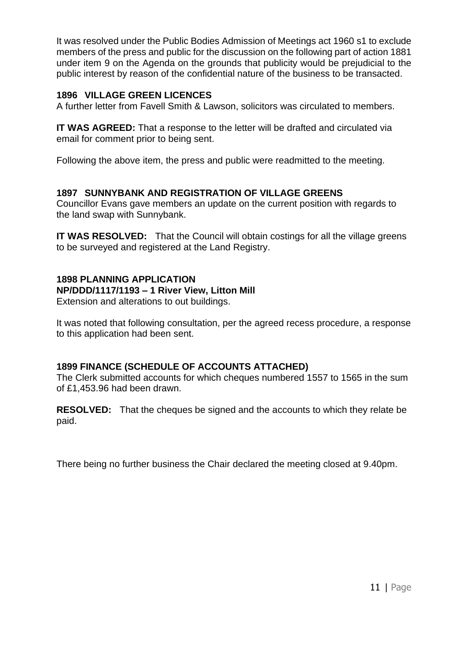It was resolved under the Public Bodies Admission of Meetings act 1960 s1 to exclude members of the press and public for the discussion on the following part of action 1881 under item 9 on the Agenda on the grounds that publicity would be prejudicial to the public interest by reason of the confidential nature of the business to be transacted.

# **1896 VILLAGE GREEN LICENCES**

A further letter from Favell Smith & Lawson, solicitors was circulated to members.

**IT WAS AGREED:** That a response to the letter will be drafted and circulated via email for comment prior to being sent.

Following the above item, the press and public were readmitted to the meeting.

# **1897 SUNNYBANK AND REGISTRATION OF VILLAGE GREENS**

Councillor Evans gave members an update on the current position with regards to the land swap with Sunnybank.

**IT WAS RESOLVED:** That the Council will obtain costings for all the village greens to be surveyed and registered at the Land Registry.

# **1898 PLANNING APPLICATION**

#### **NP/DDD/1117/1193 – 1 River View, Litton Mill**

Extension and alterations to out buildings.

It was noted that following consultation, per the agreed recess procedure, a response to this application had been sent.

# **1899 FINANCE (SCHEDULE OF ACCOUNTS ATTACHED)**

The Clerk submitted accounts for which cheques numbered 1557 to 1565 in the sum of £1,453.96 had been drawn.

**RESOLVED:** That the cheques be signed and the accounts to which they relate be paid.

There being no further business the Chair declared the meeting closed at 9.40pm.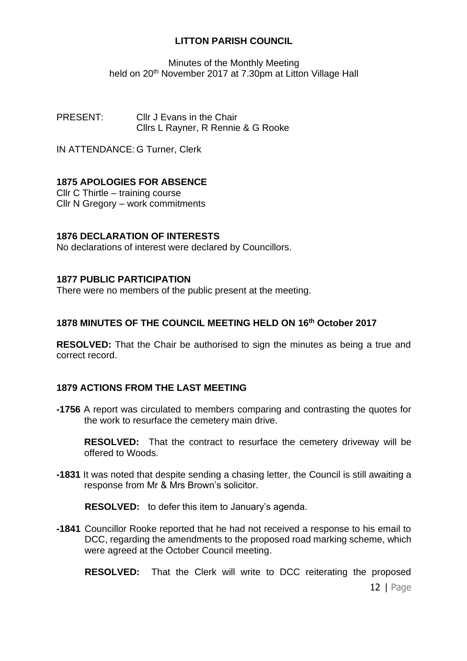Minutes of the Monthly Meeting held on 20<sup>th</sup> November 2017 at 7.30pm at Litton Village Hall

PRESENT: Cllr J Evans in the Chair Cllrs L Rayner, R Rennie & G Rooke

IN ATTENDANCE: G Turner, Clerk

# **1875 APOLOGIES FOR ABSENCE**

Cllr C Thirtle – training course Cllr N Gregory – work commitments

# **1876 DECLARATION OF INTERESTS**

No declarations of interest were declared by Councillors.

### **1877 PUBLIC PARTICIPATION**

There were no members of the public present at the meeting.

# **1878 MINUTES OF THE COUNCIL MEETING HELD ON 16th October 2017**

**RESOLVED:** That the Chair be authorised to sign the minutes as being a true and correct record.

# **1879 ACTIONS FROM THE LAST MEETING**

**-1756** A report was circulated to members comparing and contrasting the quotes for the work to resurface the cemetery main drive.

**RESOLVED:** That the contract to resurface the cemetery driveway will be offered to Woods.

**-1831** It was noted that despite sending a chasing letter, the Council is still awaiting a response from Mr & Mrs Brown's solicitor.

**RESOLVED:** to defer this item to January's agenda.

**-1841** Councillor Rooke reported that he had not received a response to his email to DCC, regarding the amendments to the proposed road marking scheme, which were agreed at the October Council meeting.

**RESOLVED:** That the Clerk will write to DCC reiterating the proposed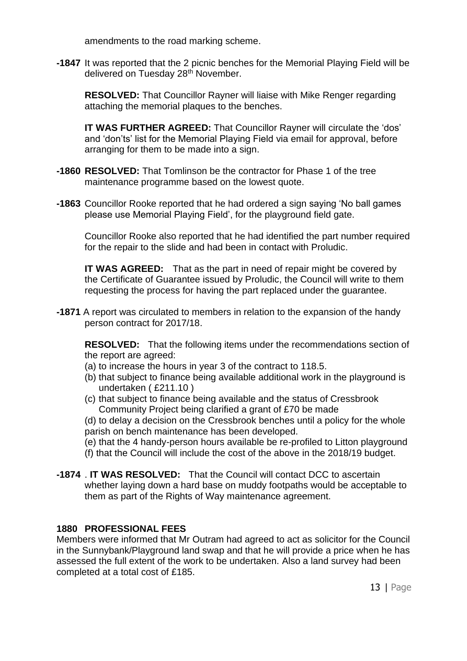amendments to the road marking scheme.

**-1847** It was reported that the 2 picnic benches for the Memorial Playing Field will be delivered on Tuesday 28<sup>th</sup> November.

**RESOLVED:** That Councillor Rayner will liaise with Mike Renger regarding attaching the memorial plaques to the benches.

**IT WAS FURTHER AGREED:** That Councillor Rayner will circulate the 'dos' and 'don'ts' list for the Memorial Playing Field via email for approval, before arranging for them to be made into a sign.

- **-1860 RESOLVED:** That Tomlinson be the contractor for Phase 1 of the tree maintenance programme based on the lowest quote.
- **-1863** Councillor Rooke reported that he had ordered a sign saying 'No ball games please use Memorial Playing Field', for the playground field gate.

Councillor Rooke also reported that he had identified the part number required for the repair to the slide and had been in contact with Proludic.

**IT WAS AGREED:** That as the part in need of repair might be covered by the Certificate of Guarantee issued by Proludic, the Council will write to them requesting the process for having the part replaced under the guarantee.

**-1871** A report was circulated to members in relation to the expansion of the handy person contract for 2017/18.

**RESOLVED:** That the following items under the recommendations section of the report are agreed:

- (a) to increase the hours in year 3 of the contract to 118.5.
- (b) that subject to finance being available additional work in the playground is undertaken ( £211.10 )
- (c) that subject to finance being available and the status of Cressbrook Community Project being clarified a grant of £70 be made
- (d) to delay a decision on the Cressbrook benches until a policy for the whole parish on bench maintenance has been developed.
- (e) that the 4 handy-person hours available be re-profiled to Litton playground
- (f) that the Council will include the cost of the above in the 2018/19 budget.
- **-1874** . **IT WAS RESOLVED:** That the Council will contact DCC to ascertain whether laying down a hard base on muddy footpaths would be acceptable to them as part of the Rights of Way maintenance agreement.

# **1880 PROFESSIONAL FEES**

Members were informed that Mr Outram had agreed to act as solicitor for the Council in the Sunnybank/Playground land swap and that he will provide a price when he has assessed the full extent of the work to be undertaken. Also a land survey had been completed at a total cost of £185.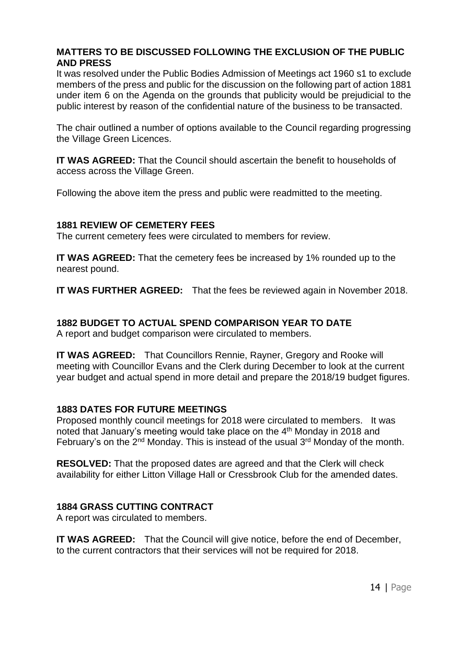# **MATTERS TO BE DISCUSSED FOLLOWING THE EXCLUSION OF THE PUBLIC AND PRESS**

It was resolved under the Public Bodies Admission of Meetings act 1960 s1 to exclude members of the press and public for the discussion on the following part of action 1881 under item 6 on the Agenda on the grounds that publicity would be prejudicial to the public interest by reason of the confidential nature of the business to be transacted.

The chair outlined a number of options available to the Council regarding progressing the Village Green Licences.

**IT WAS AGREED:** That the Council should ascertain the benefit to households of access across the Village Green.

Following the above item the press and public were readmitted to the meeting.

# **1881 REVIEW OF CEMETERY FEES**

The current cemetery fees were circulated to members for review.

**IT WAS AGREED:** That the cemetery fees be increased by 1% rounded up to the nearest pound.

**IT WAS FURTHER AGREED:** That the fees be reviewed again in November 2018.

# **1882 BUDGET TO ACTUAL SPEND COMPARISON YEAR TO DATE**

A report and budget comparison were circulated to members.

**IT WAS AGREED:** That Councillors Rennie, Rayner, Gregory and Rooke will meeting with Councillor Evans and the Clerk during December to look at the current year budget and actual spend in more detail and prepare the 2018/19 budget figures.

# **1883 DATES FOR FUTURE MEETINGS**

Proposed monthly council meetings for 2018 were circulated to members. It was noted that January's meeting would take place on the 4<sup>th</sup> Monday in 2018 and February's on the 2<sup>nd</sup> Monday. This is instead of the usual 3<sup>rd</sup> Monday of the month.

**RESOLVED:** That the proposed dates are agreed and that the Clerk will check availability for either Litton Village Hall or Cressbrook Club for the amended dates.

# **1884 GRASS CUTTING CONTRACT**

A report was circulated to members.

**IT WAS AGREED:** That the Council will give notice, before the end of December, to the current contractors that their services will not be required for 2018.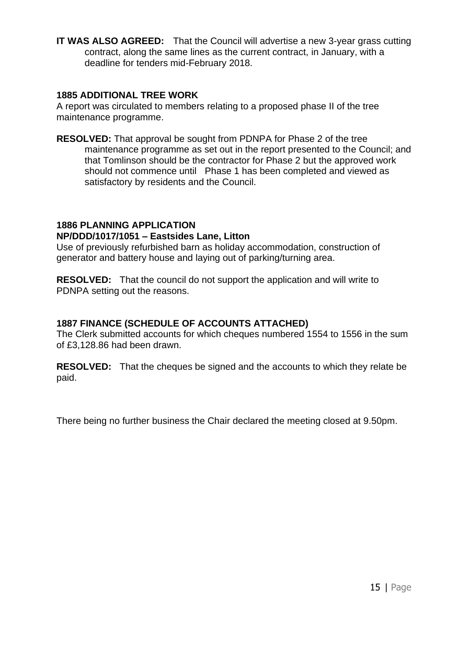**IT WAS ALSO AGREED:** That the Council will advertise a new 3-year grass cutting contract, along the same lines as the current contract, in January, with a deadline for tenders mid-February 2018.

### **1885 ADDITIONAL TREE WORK**

A report was circulated to members relating to a proposed phase II of the tree maintenance programme.

**RESOLVED:** That approval be sought from PDNPA for Phase 2 of the tree maintenance programme as set out in the report presented to the Council; and that Tomlinson should be the contractor for Phase 2 but the approved work should not commence until Phase 1 has been completed and viewed as satisfactory by residents and the Council.

# **1886 PLANNING APPLICATION**

# **NP/DDD/1017/1051 – Eastsides Lane, Litton**

Use of previously refurbished barn as holiday accommodation, construction of generator and battery house and laying out of parking/turning area.

**RESOLVED:** That the council do not support the application and will write to PDNPA setting out the reasons.

# **1887 FINANCE (SCHEDULE OF ACCOUNTS ATTACHED)**

The Clerk submitted accounts for which cheques numbered 1554 to 1556 in the sum of £3,128.86 had been drawn.

**RESOLVED:** That the cheques be signed and the accounts to which they relate be paid.

There being no further business the Chair declared the meeting closed at 9.50pm.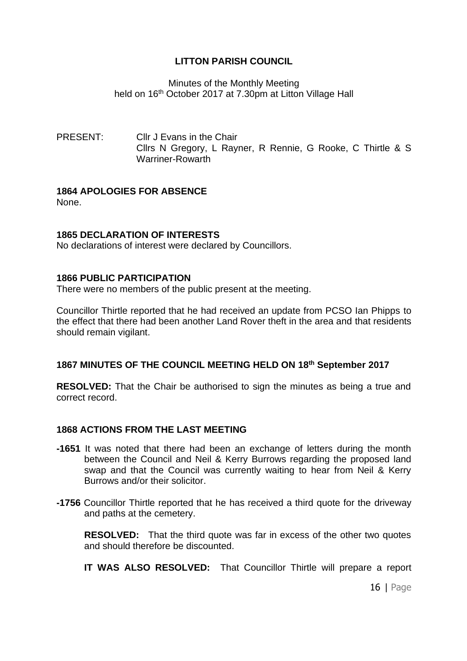# Minutes of the Monthly Meeting held on 16 th October 2017 at 7.30pm at Litton Village Hall

PRESENT: Cllr J Evans in the Chair Cllrs N Gregory, L Rayner, R Rennie, G Rooke, C Thirtle & S Warriner-Rowarth

# **1864 APOLOGIES FOR ABSENCE**

None.

# **1865 DECLARATION OF INTERESTS**

No declarations of interest were declared by Councillors.

# **1866 PUBLIC PARTICIPATION**

There were no members of the public present at the meeting.

Councillor Thirtle reported that he had received an update from PCSO Ian Phipps to the effect that there had been another Land Rover theft in the area and that residents should remain vigilant.

# **1867 MINUTES OF THE COUNCIL MEETING HELD ON 18 th September 2017**

**RESOLVED:** That the Chair be authorised to sign the minutes as being a true and correct record.

# **1868 ACTIONS FROM THE LAST MEETING**

- **-1651** It was noted that there had been an exchange of letters during the month between the Council and Neil & Kerry Burrows regarding the proposed land swap and that the Council was currently waiting to hear from Neil & Kerry Burrows and/or their solicitor.
- **-1756** Councillor Thirtle reported that he has received a third quote for the driveway and paths at the cemetery.

**RESOLVED:** That the third quote was far in excess of the other two quotes and should therefore be discounted.

**IT WAS ALSO RESOLVED:** That Councillor Thirtle will prepare a report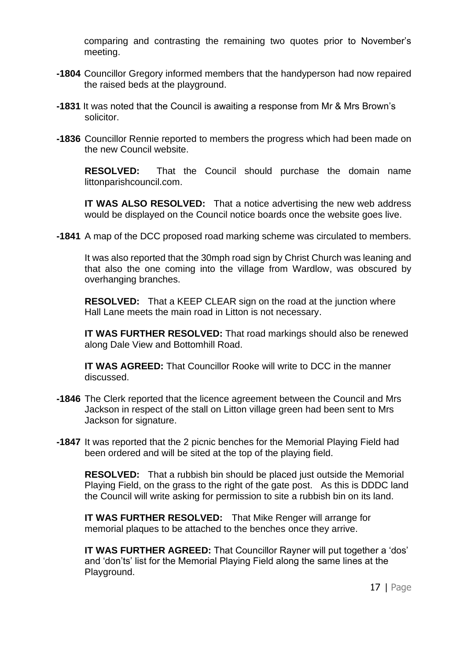comparing and contrasting the remaining two quotes prior to November's meeting.

- **-1804** Councillor Gregory informed members that the handyperson had now repaired the raised beds at the playground.
- **-1831** It was noted that the Council is awaiting a response from Mr & Mrs Brown's solicitor.
- **-1836** Councillor Rennie reported to members the progress which had been made on the new Council website.

**RESOLVED:** That the Council should purchase the domain name littonparishcouncil.com.

**IT WAS ALSO RESOLVED:** That a notice advertising the new web address would be displayed on the Council notice boards once the website goes live.

**-1841** A map of the DCC proposed road marking scheme was circulated to members.

It was also reported that the 30mph road sign by Christ Church was leaning and that also the one coming into the village from Wardlow, was obscured by overhanging branches.

**RESOLVED:** That a KEEP CLEAR sign on the road at the junction where Hall Lane meets the main road in Litton is not necessary.

**IT WAS FURTHER RESOLVED:** That road markings should also be renewed along Dale View and Bottomhill Road.

**IT WAS AGREED:** That Councillor Rooke will write to DCC in the manner discussed.

- **-1846** The Clerk reported that the licence agreement between the Council and Mrs Jackson in respect of the stall on Litton village green had been sent to Mrs Jackson for signature.
- **-1847** It was reported that the 2 picnic benches for the Memorial Playing Field had been ordered and will be sited at the top of the playing field.

**RESOLVED:** That a rubbish bin should be placed just outside the Memorial Playing Field, on the grass to the right of the gate post. As this is DDDC land the Council will write asking for permission to site a rubbish bin on its land.

**IT WAS FURTHER RESOLVED:** That Mike Renger will arrange for memorial plaques to be attached to the benches once they arrive.

**IT WAS FURTHER AGREED:** That Councillor Rayner will put together a 'dos' and 'don'ts' list for the Memorial Playing Field along the same lines at the Playground.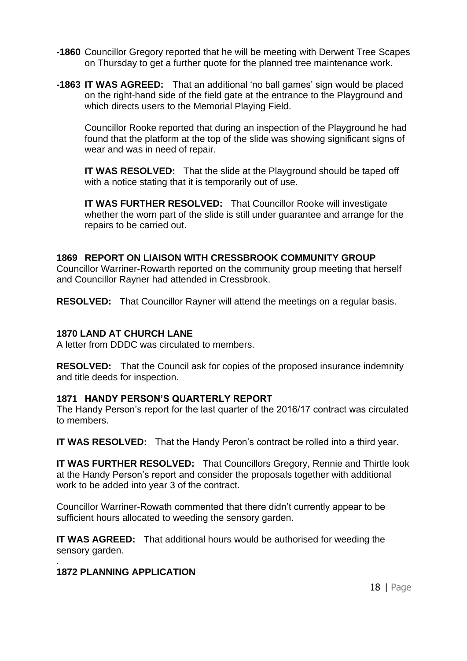- **-1860** Councillor Gregory reported that he will be meeting with Derwent Tree Scapes on Thursday to get a further quote for the planned tree maintenance work.
- **-1863 IT WAS AGREED:** That an additional 'no ball games' sign would be placed on the right-hand side of the field gate at the entrance to the Playground and which directs users to the Memorial Playing Field.

Councillor Rooke reported that during an inspection of the Playground he had found that the platform at the top of the slide was showing significant signs of wear and was in need of repair.

**IT WAS RESOLVED:** That the slide at the Playground should be taped off with a notice stating that it is temporarily out of use.

**IT WAS FURTHER RESOLVED:** That Councillor Rooke will investigate whether the worn part of the slide is still under guarantee and arrange for the repairs to be carried out.

# **1869 REPORT ON LIAISON WITH CRESSBROOK COMMUNITY GROUP**

Councillor Warriner-Rowarth reported on the community group meeting that herself and Councillor Rayner had attended in Cressbrook.

**RESOLVED:** That Councillor Rayner will attend the meetings on a regular basis.

# **1870 LAND AT CHURCH LANE**

A letter from DDDC was circulated to members.

**RESOLVED:** That the Council ask for copies of the proposed insurance indemnity and title deeds for inspection.

#### **1871 HANDY PERSON'S QUARTERLY REPORT**

The Handy Person's report for the last quarter of the 2016/17 contract was circulated to members.

**IT WAS RESOLVED:** That the Handy Peron's contract be rolled into a third year.

**IT WAS FURTHER RESOLVED:** That Councillors Gregory, Rennie and Thirtle look at the Handy Person's report and consider the proposals together with additional work to be added into year 3 of the contract.

Councillor Warriner-Rowath commented that there didn't currently appear to be sufficient hours allocated to weeding the sensory garden.

**IT WAS AGREED:** That additional hours would be authorised for weeding the sensory garden.

#### . **1872 PLANNING APPLICATION**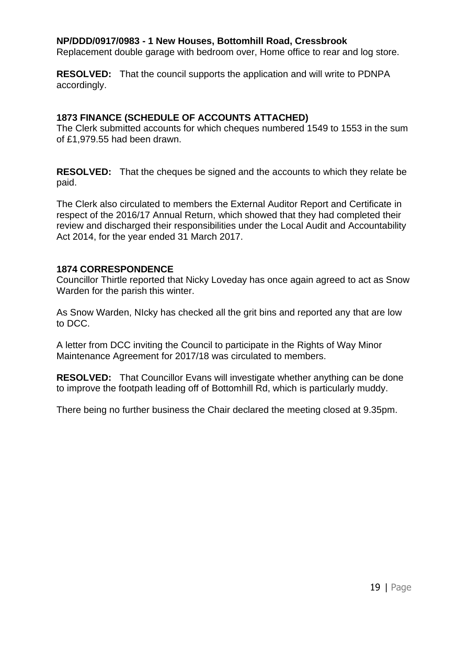### **NP/DDD/0917/0983 - 1 New Houses, Bottomhill Road, Cressbrook**

Replacement double garage with bedroom over, Home office to rear and log store.

**RESOLVED:** That the council supports the application and will write to PDNPA accordingly.

### **1873 FINANCE (SCHEDULE OF ACCOUNTS ATTACHED)**

The Clerk submitted accounts for which cheques numbered 1549 to 1553 in the sum of £1,979.55 had been drawn.

**RESOLVED:** That the cheques be signed and the accounts to which they relate be paid.

The Clerk also circulated to members the External Auditor Report and Certificate in respect of the 2016/17 Annual Return, which showed that they had completed their review and discharged their responsibilities under the Local Audit and Accountability Act 2014, for the year ended 31 March 2017.

#### **1874 CORRESPONDENCE**

Councillor Thirtle reported that Nicky Loveday has once again agreed to act as Snow Warden for the parish this winter.

As Snow Warden, NIcky has checked all the grit bins and reported any that are low to DCC.

A letter from DCC inviting the Council to participate in the Rights of Way Minor Maintenance Agreement for 2017/18 was circulated to members.

**RESOLVED:** That Councillor Evans will investigate whether anything can be done to improve the footpath leading off of Bottomhill Rd, which is particularly muddy.

There being no further business the Chair declared the meeting closed at 9.35pm.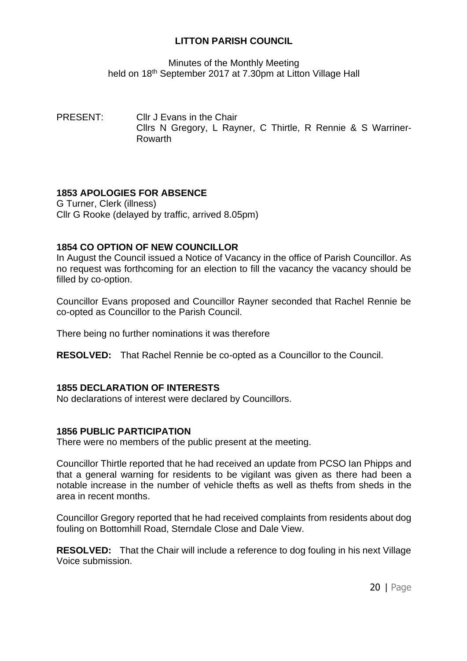Minutes of the Monthly Meeting held on 18<sup>th</sup> September 2017 at 7.30pm at Litton Village Hall

PRESENT: Cllr J Evans in the Chair Cllrs N Gregory, L Rayner, C Thirtle, R Rennie & S Warriner-Rowarth

# **1853 APOLOGIES FOR ABSENCE**

G Turner, Clerk (illness) Cllr G Rooke (delayed by traffic, arrived 8.05pm)

# **1854 CO OPTION OF NEW COUNCILLOR**

In August the Council issued a Notice of Vacancy in the office of Parish Councillor. As no request was forthcoming for an election to fill the vacancy the vacancy should be filled by co-option.

Councillor Evans proposed and Councillor Rayner seconded that Rachel Rennie be co-opted as Councillor to the Parish Council.

There being no further nominations it was therefore

**RESOLVED:** That Rachel Rennie be co-opted as a Councillor to the Council.

# **1855 DECLARATION OF INTERESTS**

No declarations of interest were declared by Councillors.

# **1856 PUBLIC PARTICIPATION**

There were no members of the public present at the meeting.

Councillor Thirtle reported that he had received an update from PCSO Ian Phipps and that a general warning for residents to be vigilant was given as there had been a notable increase in the number of vehicle thefts as well as thefts from sheds in the area in recent months.

Councillor Gregory reported that he had received complaints from residents about dog fouling on Bottomhill Road, Sterndale Close and Dale View.

**RESOLVED:** That the Chair will include a reference to dog fouling in his next Village Voice submission.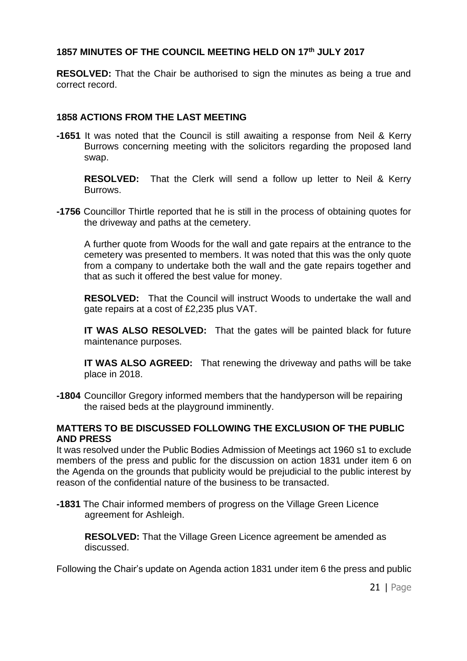# **1857 MINUTES OF THE COUNCIL MEETING HELD ON 17 th JULY 2017**

**RESOLVED:** That the Chair be authorised to sign the minutes as being a true and correct record.

# **1858 ACTIONS FROM THE LAST MEETING**

**-1651** It was noted that the Council is still awaiting a response from Neil & Kerry Burrows concerning meeting with the solicitors regarding the proposed land swap.

**RESOLVED:** That the Clerk will send a follow up letter to Neil & Kerry Burrows.

**-1756** Councillor Thirtle reported that he is still in the process of obtaining quotes for the driveway and paths at the cemetery.

A further quote from Woods for the wall and gate repairs at the entrance to the cemetery was presented to members. It was noted that this was the only quote from a company to undertake both the wall and the gate repairs together and that as such it offered the best value for money.

**RESOLVED:** That the Council will instruct Woods to undertake the wall and gate repairs at a cost of £2,235 plus VAT.

**IT WAS ALSO RESOLVED:** That the gates will be painted black for future maintenance purposes.

**IT WAS ALSO AGREED:** That renewing the driveway and paths will be take place in 2018.

**-1804** Councillor Gregory informed members that the handyperson will be repairing the raised beds at the playground imminently.

# **MATTERS TO BE DISCUSSED FOLLOWING THE EXCLUSION OF THE PUBLIC AND PRESS**

It was resolved under the Public Bodies Admission of Meetings act 1960 s1 to exclude members of the press and public for the discussion on action 1831 under item 6 on the Agenda on the grounds that publicity would be prejudicial to the public interest by reason of the confidential nature of the business to be transacted.

**-1831** The Chair informed members of progress on the Village Green Licence agreement for Ashleigh.

**RESOLVED:** That the Village Green Licence agreement be amended as discussed.

Following the Chair's update on Agenda action 1831 under item 6 the press and public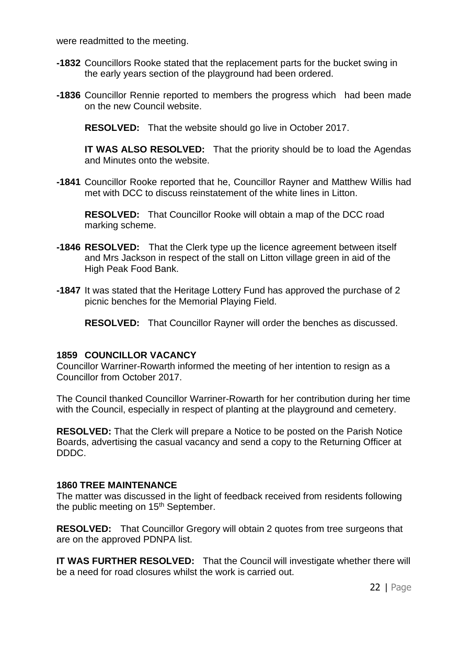were readmitted to the meeting.

- **-1832** Councillors Rooke stated that the replacement parts for the bucket swing in the early years section of the playground had been ordered.
- **-1836** Councillor Rennie reported to members the progress which had been made on the new Council website.

**RESOLVED:** That the website should go live in October 2017.

**IT WAS ALSO RESOLVED:** That the priority should be to load the Agendas and Minutes onto the website.

**-1841** Councillor Rooke reported that he, Councillor Rayner and Matthew Willis had met with DCC to discuss reinstatement of the white lines in Litton.

**RESOLVED:** That Councillor Rooke will obtain a map of the DCC road marking scheme.

- **-1846 RESOLVED:** That the Clerk type up the licence agreement between itself and Mrs Jackson in respect of the stall on Litton village green in aid of the High Peak Food Bank.
- **-1847** It was stated that the Heritage Lottery Fund has approved the purchase of 2 picnic benches for the Memorial Playing Field.

**RESOLVED:** That Councillor Rayner will order the benches as discussed.

#### **1859 COUNCILLOR VACANCY**

Councillor Warriner-Rowarth informed the meeting of her intention to resign as a Councillor from October 2017.

The Council thanked Councillor Warriner-Rowarth for her contribution during her time with the Council, especially in respect of planting at the playground and cemetery.

**RESOLVED:** That the Clerk will prepare a Notice to be posted on the Parish Notice Boards, advertising the casual vacancy and send a copy to the Returning Officer at DDDC.

# **1860 TREE MAINTENANCE**

The matter was discussed in the light of feedback received from residents following the public meeting on 15<sup>th</sup> September.

**RESOLVED:** That Councillor Gregory will obtain 2 quotes from tree surgeons that are on the approved PDNPA list.

**IT WAS FURTHER RESOLVED:** That the Council will investigate whether there will be a need for road closures whilst the work is carried out.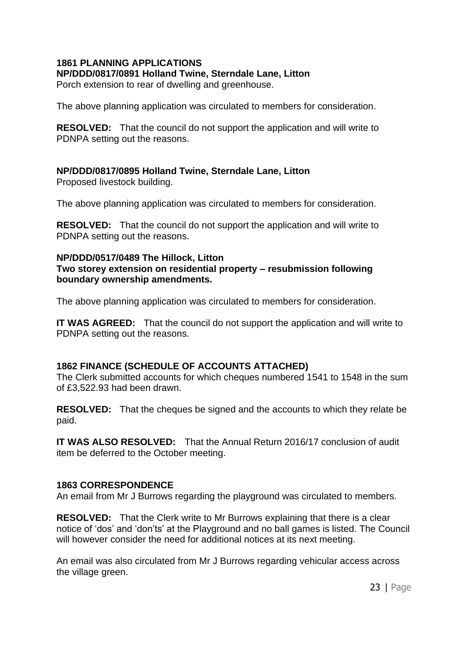# **1861 PLANNING APPLICATIONS**

**NP/DDD/0817/0891 Holland Twine, Sterndale Lane, Litton**

Porch extension to rear of dwelling and greenhouse.

The above planning application was circulated to members for consideration.

**RESOLVED:** That the council do not support the application and will write to PDNPA setting out the reasons.

# **NP/DDD/0817/0895 Holland Twine, Sterndale Lane, Litton**

Proposed livestock building.

The above planning application was circulated to members for consideration.

**RESOLVED:** That the council do not support the application and will write to PDNPA setting out the reasons.

# **NP/DDD/0517/0489 The Hillock, Litton**

**Two storey extension on residential property – resubmission following boundary ownership amendments.**

The above planning application was circulated to members for consideration.

**IT WAS AGREED:** That the council do not support the application and will write to PDNPA setting out the reasons.

# **1862 FINANCE (SCHEDULE OF ACCOUNTS ATTACHED)**

The Clerk submitted accounts for which cheques numbered 1541 to 1548 in the sum of £3,522.93 had been drawn.

**RESOLVED:** That the cheques be signed and the accounts to which they relate be paid.

**IT WAS ALSO RESOLVED:** That the Annual Return 2016/17 conclusion of audit item be deferred to the October meeting.

# **1863 CORRESPONDENCE**

An email from Mr J Burrows regarding the playground was circulated to members.

**RESOLVED:** That the Clerk write to Mr Burrows explaining that there is a clear notice of 'dos' and 'don'ts' at the Playground and no ball games is listed. The Council will however consider the need for additional notices at its next meeting.

An email was also circulated from Mr J Burrows regarding vehicular access across the village green.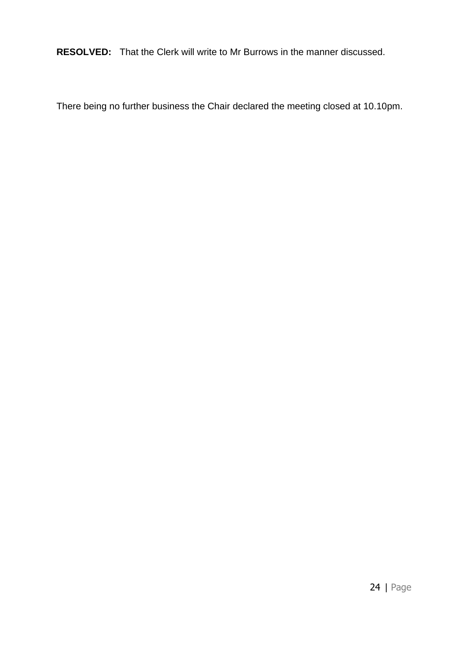**RESOLVED:** That the Clerk will write to Mr Burrows in the manner discussed.

There being no further business the Chair declared the meeting closed at 10.10pm.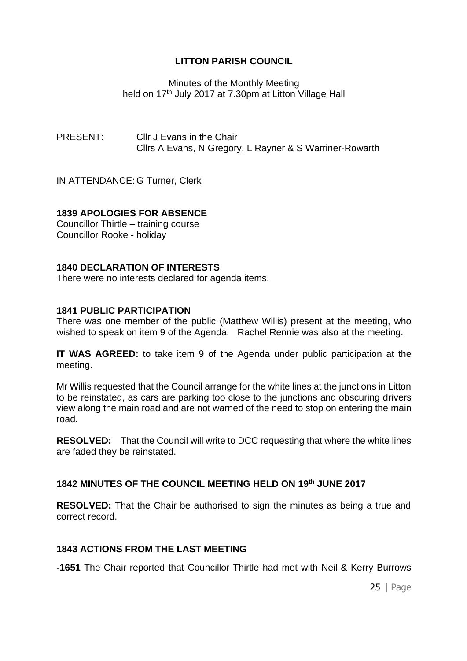Minutes of the Monthly Meeting held on 17<sup>th</sup> July 2017 at 7.30pm at Litton Village Hall

PRESENT: Cllr J Evans in the Chair Cllrs A Evans, N Gregory, L Rayner & S Warriner-Rowarth

IN ATTENDANCE: G Turner, Clerk

# **1839 APOLOGIES FOR ABSENCE**

Councillor Thirtle – training course Councillor Rooke - holiday

#### **1840 DECLARATION OF INTERESTS**

There were no interests declared for agenda items.

#### **1841 PUBLIC PARTICIPATION**

There was one member of the public (Matthew Willis) present at the meeting, who wished to speak on item 9 of the Agenda. Rachel Rennie was also at the meeting.

**IT WAS AGREED:** to take item 9 of the Agenda under public participation at the meeting.

Mr Willis requested that the Council arrange for the white lines at the junctions in Litton to be reinstated, as cars are parking too close to the junctions and obscuring drivers view along the main road and are not warned of the need to stop on entering the main road.

**RESOLVED:** That the Council will write to DCC requesting that where the white lines are faded they be reinstated.

#### **1842 MINUTES OF THE COUNCIL MEETING HELD ON 19th JUNE 2017**

**RESOLVED:** That the Chair be authorised to sign the minutes as being a true and correct record.

#### **1843 ACTIONS FROM THE LAST MEETING**

**-1651** The Chair reported that Councillor Thirtle had met with Neil & Kerry Burrows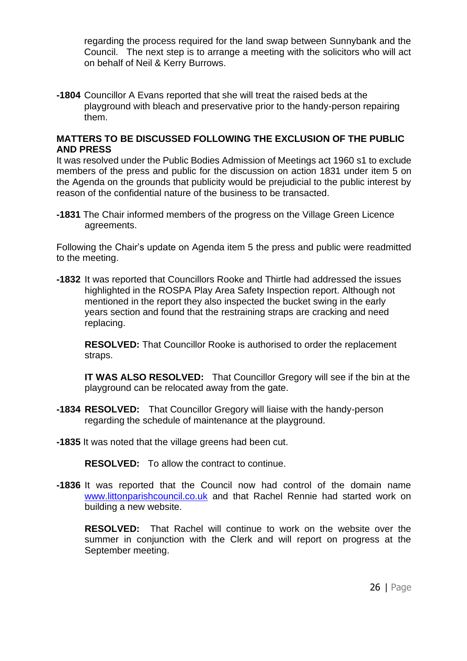regarding the process required for the land swap between Sunnybank and the Council. The next step is to arrange a meeting with the solicitors who will act on behalf of Neil & Kerry Burrows.

**-1804** Councillor A Evans reported that she will treat the raised beds at the playground with bleach and preservative prior to the handy-person repairing them.

# **MATTERS TO BE DISCUSSED FOLLOWING THE EXCLUSION OF THE PUBLIC AND PRESS**

It was resolved under the Public Bodies Admission of Meetings act 1960 s1 to exclude members of the press and public for the discussion on action 1831 under item 5 on the Agenda on the grounds that publicity would be prejudicial to the public interest by reason of the confidential nature of the business to be transacted.

**-1831** The Chair informed members of the progress on the Village Green Licence agreements.

Following the Chair's update on Agenda item 5 the press and public were readmitted to the meeting.

**-1832** It was reported that Councillors Rooke and Thirtle had addressed the issues highlighted in the ROSPA Play Area Safety Inspection report. Although not mentioned in the report they also inspected the bucket swing in the early years section and found that the restraining straps are cracking and need replacing.

**RESOLVED:** That Councillor Rooke is authorised to order the replacement straps.

**IT WAS ALSO RESOLVED:** That Councillor Gregory will see if the bin at the playground can be relocated away from the gate.

**-1834 RESOLVED:** That Councillor Gregory will liaise with the handy-person regarding the schedule of maintenance at the playground.

**-1835** It was noted that the village greens had been cut.

**RESOLVED:** To allow the contract to continue.

**-1836** It was reported that the Council now had control of the domain name [www.littonparishcouncil.co.uk](http://www.littonparishcouncil.co.uk/) and that Rachel Rennie had started work on building a new website.

**RESOLVED:** That Rachel will continue to work on the website over the summer in conjunction with the Clerk and will report on progress at the September meeting.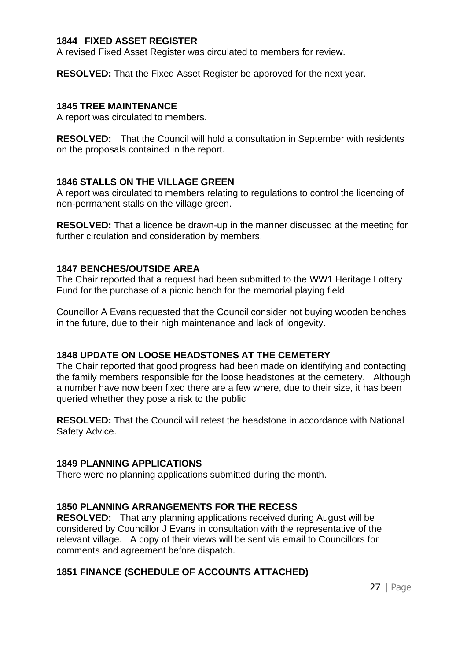# **1844 FIXED ASSET REGISTER**

A revised Fixed Asset Register was circulated to members for review.

**RESOLVED:** That the Fixed Asset Register be approved for the next year.

#### **1845 TREE MAINTENANCE**

A report was circulated to members.

**RESOLVED:** That the Council will hold a consultation in September with residents on the proposals contained in the report.

# **1846 STALLS ON THE VILLAGE GREEN**

A report was circulated to members relating to regulations to control the licencing of non-permanent stalls on the village green.

**RESOLVED:** That a licence be drawn-up in the manner discussed at the meeting for further circulation and consideration by members.

# **1847 BENCHES/OUTSIDE AREA**

The Chair reported that a request had been submitted to the WW1 Heritage Lottery Fund for the purchase of a picnic bench for the memorial playing field.

Councillor A Evans requested that the Council consider not buying wooden benches in the future, due to their high maintenance and lack of longevity.

# **1848 UPDATE ON LOOSE HEADSTONES AT THE CEMETERY**

The Chair reported that good progress had been made on identifying and contacting the family members responsible for the loose headstones at the cemetery. Although a number have now been fixed there are a few where, due to their size, it has been queried whether they pose a risk to the public

**RESOLVED:** That the Council will retest the headstone in accordance with National Safety Advice.

#### **1849 PLANNING APPLICATIONS**

There were no planning applications submitted during the month.

#### **1850 PLANNING ARRANGEMENTS FOR THE RECESS**

**RESOLVED:** That any planning applications received during August will be considered by Councillor J Evans in consultation with the representative of the relevant village. A copy of their views will be sent via email to Councillors for comments and agreement before dispatch.

# **1851 FINANCE (SCHEDULE OF ACCOUNTS ATTACHED)**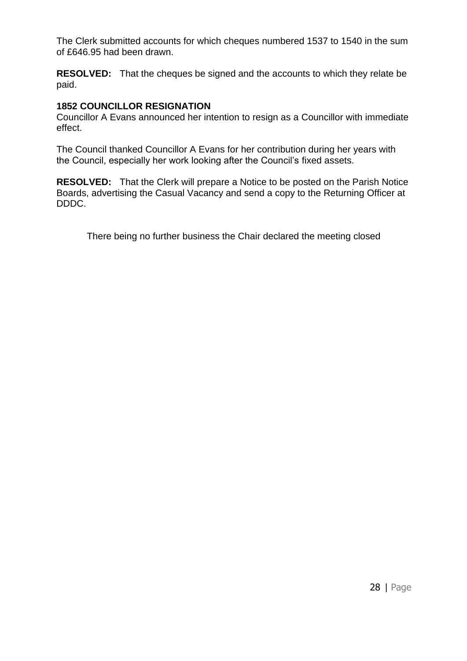The Clerk submitted accounts for which cheques numbered 1537 to 1540 in the sum of £646.95 had been drawn.

**RESOLVED:** That the cheques be signed and the accounts to which they relate be paid.

# **1852 COUNCILLOR RESIGNATION**

Councillor A Evans announced her intention to resign as a Councillor with immediate effect.

The Council thanked Councillor A Evans for her contribution during her years with the Council, especially her work looking after the Council's fixed assets.

**RESOLVED:** That the Clerk will prepare a Notice to be posted on the Parish Notice Boards, advertising the Casual Vacancy and send a copy to the Returning Officer at DDDC.

There being no further business the Chair declared the meeting closed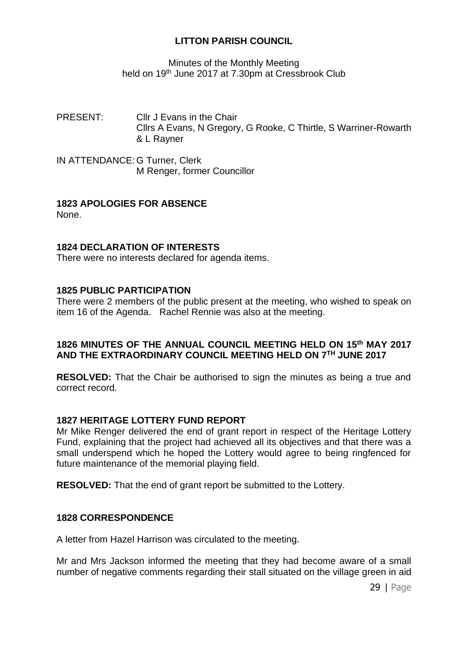# Minutes of the Monthly Meeting held on 19<sup>th</sup> June 2017 at 7.30pm at Cressbrook Club

PRESENT: Cllr J Evans in the Chair Cllrs A Evans, N Gregory, G Rooke, C Thirtle, S Warriner-Rowarth & L Rayner

IN ATTENDANCE: G Turner, Clerk M Renger, former Councillor

# **1823 APOLOGIES FOR ABSENCE**

None.

# **1824 DECLARATION OF INTERESTS**

There were no interests declared for agenda items.

# **1825 PUBLIC PARTICIPATION**

There were 2 members of the public present at the meeting, who wished to speak on item 16 of the Agenda. Rachel Rennie was also at the meeting.

# **1826 MINUTES OF THE ANNUAL COUNCIL MEETING HELD ON 15th MAY 2017 AND THE EXTRAORDINARY COUNCIL MEETING HELD ON 7TH JUNE 2017**

**RESOLVED:** That the Chair be authorised to sign the minutes as being a true and correct record.

# **1827 HERITAGE LOTTERY FUND REPORT**

Mr Mike Renger delivered the end of grant report in respect of the Heritage Lottery Fund, explaining that the project had achieved all its objectives and that there was a small underspend which he hoped the Lottery would agree to being ringfenced for future maintenance of the memorial playing field.

**RESOLVED:** That the end of grant report be submitted to the Lottery.

# **1828 CORRESPONDENCE**

A letter from Hazel Harrison was circulated to the meeting.

Mr and Mrs Jackson informed the meeting that they had become aware of a small number of negative comments regarding their stall situated on the village green in aid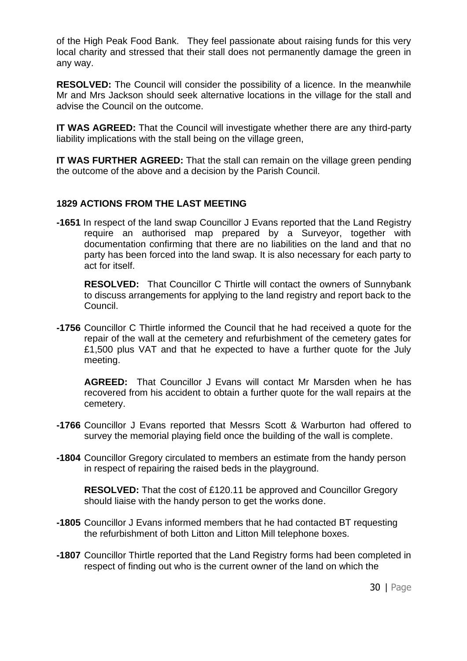of the High Peak Food Bank. They feel passionate about raising funds for this very local charity and stressed that their stall does not permanently damage the green in any way.

**RESOLVED:** The Council will consider the possibility of a licence. In the meanwhile Mr and Mrs Jackson should seek alternative locations in the village for the stall and advise the Council on the outcome.

**IT WAS AGREED:** That the Council will investigate whether there are any third-party liability implications with the stall being on the village green,

**IT WAS FURTHER AGREED:** That the stall can remain on the village green pending the outcome of the above and a decision by the Parish Council.

# **1829 ACTIONS FROM THE LAST MEETING**

**-1651** In respect of the land swap Councillor J Evans reported that the Land Registry require an authorised map prepared by a Surveyor, together with documentation confirming that there are no liabilities on the land and that no party has been forced into the land swap. It is also necessary for each party to act for itself.

**RESOLVED:** That Councillor C Thirtle will contact the owners of Sunnybank to discuss arrangements for applying to the land registry and report back to the Council.

**-1756** Councillor C Thirtle informed the Council that he had received a quote for the repair of the wall at the cemetery and refurbishment of the cemetery gates for £1,500 plus VAT and that he expected to have a further quote for the July meeting.

 **AGREED:** That Councillor J Evans will contact Mr Marsden when he has recovered from his accident to obtain a further quote for the wall repairs at the cemetery.

- **-1766** Councillor J Evans reported that Messrs Scott & Warburton had offered to survey the memorial playing field once the building of the wall is complete.
- **-1804** Councillor Gregory circulated to members an estimate from the handy person in respect of repairing the raised beds in the playground.

**RESOLVED:** That the cost of £120.11 be approved and Councillor Gregory should liaise with the handy person to get the works done.

- **-1805** Councillor J Evans informed members that he had contacted BT requesting the refurbishment of both Litton and Litton Mill telephone boxes.
- **-1807** Councillor Thirtle reported that the Land Registry forms had been completed in respect of finding out who is the current owner of the land on which the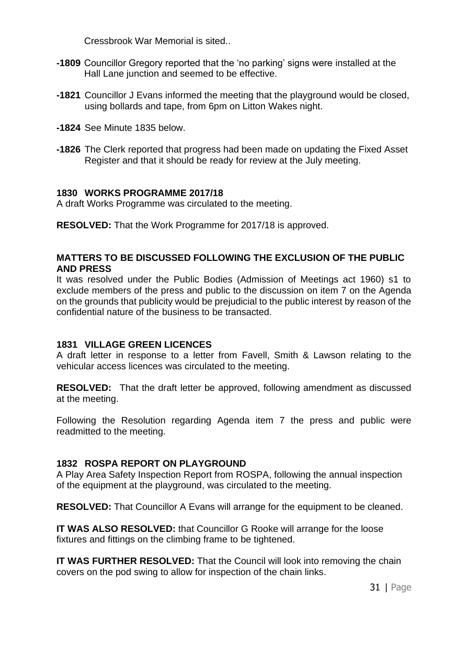Cressbrook War Memorial is sited..

- **-1809** Councillor Gregory reported that the 'no parking' signs were installed at the Hall Lane junction and seemed to be effective.
- **-1821** Councillor J Evans informed the meeting that the playground would be closed, using bollards and tape, from 6pm on Litton Wakes night.
- **-1824** See Minute 1835 below.
- **-1826** The Clerk reported that progress had been made on updating the Fixed Asset Register and that it should be ready for review at the July meeting.

#### **1830 WORKS PROGRAMME 2017/18**

A draft Works Programme was circulated to the meeting.

**RESOLVED:** That the Work Programme for 2017/18 is approved.

#### **MATTERS TO BE DISCUSSED FOLLOWING THE EXCLUSION OF THE PUBLIC AND PRESS**

It was resolved under the Public Bodies (Admission of Meetings act 1960) s1 to exclude members of the press and public to the discussion on item 7 on the Agenda on the grounds that publicity would be prejudicial to the public interest by reason of the confidential nature of the business to be transacted.

#### **1831 VILLAGE GREEN LICENCES**

A draft letter in response to a letter from Favell, Smith & Lawson relating to the vehicular access licences was circulated to the meeting.

**RESOLVED:** That the draft letter be approved, following amendment as discussed at the meeting.

Following the Resolution regarding Agenda item 7 the press and public were readmitted to the meeting.

#### **1832 ROSPA REPORT ON PLAYGROUND**

A Play Area Safety Inspection Report from ROSPA, following the annual inspection of the equipment at the playground, was circulated to the meeting.

**RESOLVED:** That Councillor A Evans will arrange for the equipment to be cleaned.

**IT WAS ALSO RESOLVED:** that Councillor G Rooke will arrange for the loose fixtures and fittings on the climbing frame to be tightened.

**IT WAS FURTHER RESOLVED:** That the Council will look into removing the chain covers on the pod swing to allow for inspection of the chain links.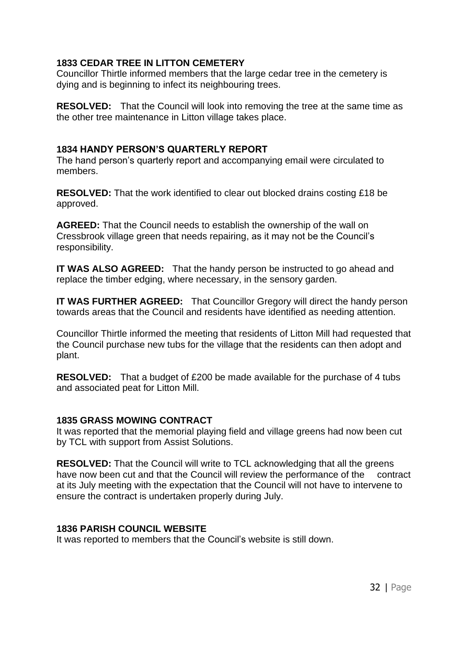# **1833 CEDAR TREE IN LITTON CEMETERY**

Councillor Thirtle informed members that the large cedar tree in the cemetery is dying and is beginning to infect its neighbouring trees.

**RESOLVED:** That the Council will look into removing the tree at the same time as the other tree maintenance in Litton village takes place.

# **1834 HANDY PERSON'S QUARTERLY REPORT**

The hand person's quarterly report and accompanying email were circulated to members.

**RESOLVED:** That the work identified to clear out blocked drains costing £18 be approved.

**AGREED:** That the Council needs to establish the ownership of the wall on Cressbrook village green that needs repairing, as it may not be the Council's responsibility.

**IT WAS ALSO AGREED:** That the handy person be instructed to go ahead and replace the timber edging, where necessary, in the sensory garden.

**IT WAS FURTHER AGREED:** That Councillor Gregory will direct the handy person towards areas that the Council and residents have identified as needing attention.

Councillor Thirtle informed the meeting that residents of Litton Mill had requested that the Council purchase new tubs for the village that the residents can then adopt and plant.

**RESOLVED:** That a budget of £200 be made available for the purchase of 4 tubs and associated peat for Litton Mill.

# **1835 GRASS MOWING CONTRACT**

It was reported that the memorial playing field and village greens had now been cut by TCL with support from Assist Solutions.

**RESOLVED:** That the Council will write to TCL acknowledging that all the greens have now been cut and that the Council will review the performance of the contract at its July meeting with the expectation that the Council will not have to intervene to ensure the contract is undertaken properly during July.

# **1836 PARISH COUNCIL WEBSITE**

It was reported to members that the Council's website is still down.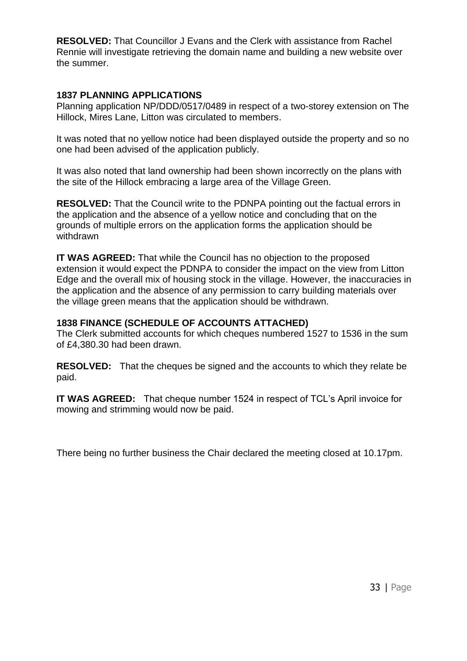**RESOLVED:** That Councillor J Evans and the Clerk with assistance from Rachel Rennie will investigate retrieving the domain name and building a new website over the summer.

# **1837 PLANNING APPLICATIONS**

Planning application NP/DDD/0517/0489 in respect of a two-storey extension on The Hillock, Mires Lane, Litton was circulated to members.

It was noted that no yellow notice had been displayed outside the property and so no one had been advised of the application publicly.

It was also noted that land ownership had been shown incorrectly on the plans with the site of the Hillock embracing a large area of the Village Green.

**RESOLVED:** That the Council write to the PDNPA pointing out the factual errors in the application and the absence of a yellow notice and concluding that on the grounds of multiple errors on the application forms the application should be withdrawn

**IT WAS AGREED:** That while the Council has no objection to the proposed extension it would expect the PDNPA to consider the impact on the view from Litton Edge and the overall mix of housing stock in the village. However, the inaccuracies in the application and the absence of any permission to carry building materials over the village green means that the application should be withdrawn.

# **1838 FINANCE (SCHEDULE OF ACCOUNTS ATTACHED)**

The Clerk submitted accounts for which cheques numbered 1527 to 1536 in the sum of £4,380.30 had been drawn.

**RESOLVED:** That the cheques be signed and the accounts to which they relate be paid.

**IT WAS AGREED:** That cheque number 1524 in respect of TCL's April invoice for mowing and strimming would now be paid.

There being no further business the Chair declared the meeting closed at 10.17pm.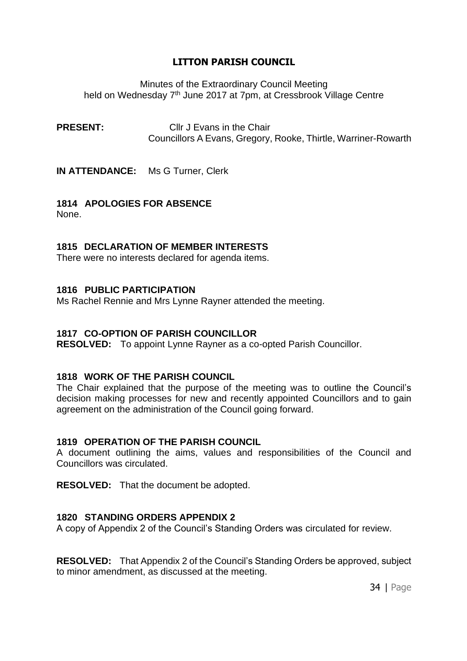Minutes of the Extraordinary Council Meeting held on Wednesday 7<sup>th</sup> June 2017 at 7pm, at Cressbrook Village Centre

**PRESENT:** Cllr J Evans in the Chair Councillors A Evans, Gregory, Rooke, Thirtle, Warriner-Rowarth

**IN ATTENDANCE:** Ms G Turner, Clerk

# **1814 APOLOGIES FOR ABSENCE**

None.

# **1815 DECLARATION OF MEMBER INTERESTS**

There were no interests declared for agenda items.

# **1816 PUBLIC PARTICIPATION**

Ms Rachel Rennie and Mrs Lynne Rayner attended the meeting.

# **1817 CO-OPTION OF PARISH COUNCILLOR**

**RESOLVED:** To appoint Lynne Rayner as a co-opted Parish Councillor.

# **1818 WORK OF THE PARISH COUNCIL**

The Chair explained that the purpose of the meeting was to outline the Council's decision making processes for new and recently appointed Councillors and to gain agreement on the administration of the Council going forward.

# **1819 OPERATION OF THE PARISH COUNCIL**

A document outlining the aims, values and responsibilities of the Council and Councillors was circulated.

**RESOLVED:** That the document be adopted.

# **1820 STANDING ORDERS APPENDIX 2**

A copy of Appendix 2 of the Council's Standing Orders was circulated for review.

**RESOLVED:** That Appendix 2 of the Council's Standing Orders be approved, subject to minor amendment, as discussed at the meeting.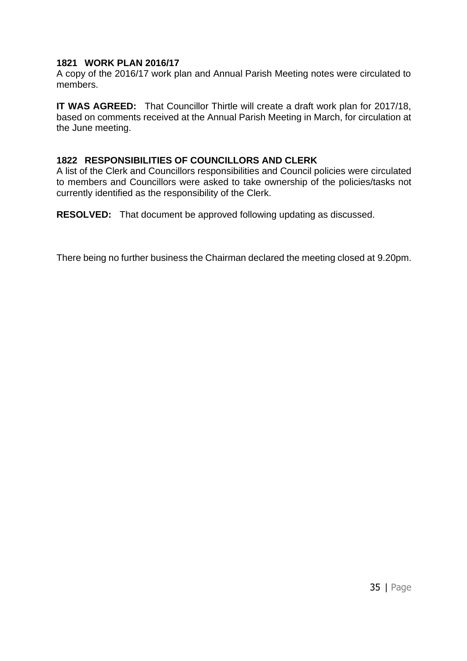# **1821 WORK PLAN 2016/17**

A copy of the 2016/17 work plan and Annual Parish Meeting notes were circulated to members.

**IT WAS AGREED:** That Councillor Thirtle will create a draft work plan for 2017/18, based on comments received at the Annual Parish Meeting in March, for circulation at the June meeting.

# **1822 RESPONSIBILITIES OF COUNCILLORS AND CLERK**

A list of the Clerk and Councillors responsibilities and Council policies were circulated to members and Councillors were asked to take ownership of the policies/tasks not currently identified as the responsibility of the Clerk.

**RESOLVED:** That document be approved following updating as discussed.

There being no further business the Chairman declared the meeting closed at 9.20pm.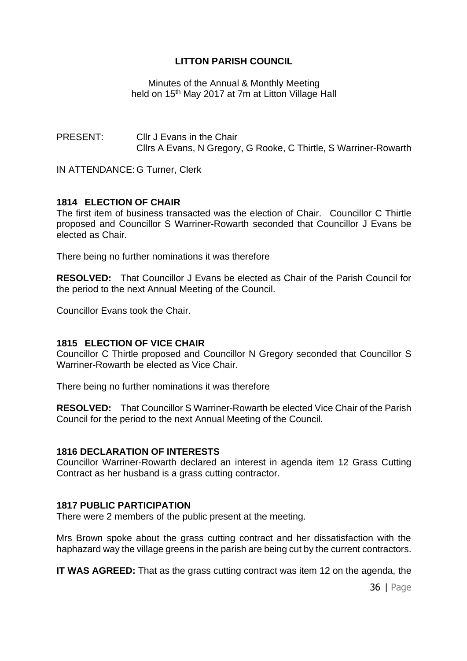Minutes of the Annual & Monthly Meeting held on 15<sup>th</sup> May 2017 at 7m at Litton Village Hall

PRESENT: Cllr J Evans in the Chair Cllrs A Evans, N Gregory, G Rooke, C Thirtle, S Warriner-Rowarth

IN ATTENDANCE: G Turner, Clerk

### **1814 ELECTION OF CHAIR**

The first item of business transacted was the election of Chair. Councillor C Thirtle proposed and Councillor S Warriner-Rowarth seconded that Councillor J Evans be elected as Chair.

There being no further nominations it was therefore

**RESOLVED:** That Councillor J Evans be elected as Chair of the Parish Council for the period to the next Annual Meeting of the Council.

Councillor Evans took the Chair.

#### **1815 ELECTION OF VICE CHAIR**

Councillor C Thirtle proposed and Councillor N Gregory seconded that Councillor S Warriner-Rowarth be elected as Vice Chair.

There being no further nominations it was therefore

**RESOLVED:** That Councillor S Warriner-Rowarth be elected Vice Chair of the Parish Council for the period to the next Annual Meeting of the Council.

#### **1816 DECLARATION OF INTERESTS**

Councillor Warriner-Rowarth declared an interest in agenda item 12 Grass Cutting Contract as her husband is a grass cutting contractor.

#### **1817 PUBLIC PARTICIPATION**

There were 2 members of the public present at the meeting.

Mrs Brown spoke about the grass cutting contract and her dissatisfaction with the haphazard way the village greens in the parish are being cut by the current contractors.

**IT WAS AGREED:** That as the grass cutting contract was item 12 on the agenda, the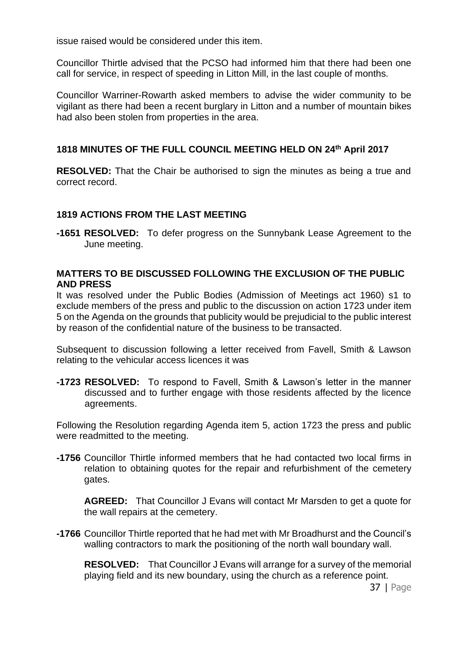issue raised would be considered under this item.

Councillor Thirtle advised that the PCSO had informed him that there had been one call for service, in respect of speeding in Litton Mill, in the last couple of months.

Councillor Warriner-Rowarth asked members to advise the wider community to be vigilant as there had been a recent burglary in Litton and a number of mountain bikes had also been stolen from properties in the area.

# **1818 MINUTES OF THE FULL COUNCIL MEETING HELD ON 24th April 2017**

**RESOLVED:** That the Chair be authorised to sign the minutes as being a true and correct record.

# **1819 ACTIONS FROM THE LAST MEETING**

**-1651 RESOLVED:** To defer progress on the Sunnybank Lease Agreement to the June meeting.

# **MATTERS TO BE DISCUSSED FOLLOWING THE EXCLUSION OF THE PUBLIC AND PRESS**

It was resolved under the Public Bodies (Admission of Meetings act 1960) s1 to exclude members of the press and public to the discussion on action 1723 under item 5 on the Agenda on the grounds that publicity would be prejudicial to the public interest by reason of the confidential nature of the business to be transacted.

Subsequent to discussion following a letter received from Favell, Smith & Lawson relating to the vehicular access licences it was

**-1723 RESOLVED:** To respond to Favell, Smith & Lawson's letter in the manner discussed and to further engage with those residents affected by the licence agreements.

Following the Resolution regarding Agenda item 5, action 1723 the press and public were readmitted to the meeting.

**-1756** Councillor Thirtle informed members that he had contacted two local firms in relation to obtaining quotes for the repair and refurbishment of the cemetery gates.

 **AGREED:** That Councillor J Evans will contact Mr Marsden to get a quote for the wall repairs at the cemetery.

**-1766** Councillor Thirtle reported that he had met with Mr Broadhurst and the Council's walling contractors to mark the positioning of the north wall boundary wall.

**RESOLVED:** That Councillor J Evans will arrange for a survey of the memorial playing field and its new boundary, using the church as a reference point.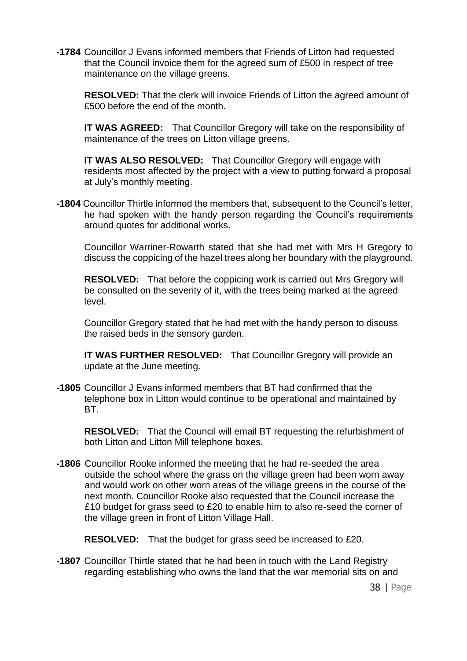**-1784** Councillor J Evans informed members that Friends of Litton had requested that the Council invoice them for the agreed sum of £500 in respect of tree maintenance on the village greens.

**RESOLVED:** That the clerk will invoice Friends of Litton the agreed amount of £500 before the end of the month.

**IT WAS AGREED:** That Councillor Gregory will take on the responsibility of maintenance of the trees on Litton village greens.

**IT WAS ALSO RESOLVED:** That Councillor Gregory will engage with residents most affected by the project with a view to putting forward a proposal at July's monthly meeting.

**-1804** Councillor Thirtle informed the members that, subsequent to the Council's letter, he had spoken with the handy person regarding the Council's requirements around quotes for additional works.

Councillor Warriner-Rowarth stated that she had met with Mrs H Gregory to discuss the coppicing of the hazel trees along her boundary with the playground.

**RESOLVED:** That before the coppicing work is carried out Mrs Gregory will be consulted on the severity of it, with the trees being marked at the agreed level.

Councillor Gregory stated that he had met with the handy person to discuss the raised beds in the sensory garden.

**IT WAS FURTHER RESOLVED:** That Councillor Gregory will provide an update at the June meeting.

**-1805** Councillor J Evans informed members that BT had confirmed that the telephone box in Litton would continue to be operational and maintained by BT.

**RESOLVED:** That the Council will email BT requesting the refurbishment of both Litton and Litton Mill telephone boxes.

**-1806** Councillor Rooke informed the meeting that he had re-seeded the area outside the school where the grass on the village green had been worn away and would work on other worn areas of the village greens in the course of the next month. Councillor Rooke also requested that the Council increase the £10 budget for grass seed to £20 to enable him to also re-seed the corner of the village green in front of Litton Village Hall.

**RESOLVED:** That the budget for grass seed be increased to £20.

**-1807** Councillor Thirtle stated that he had been in touch with the Land Registry regarding establishing who owns the land that the war memorial sits on and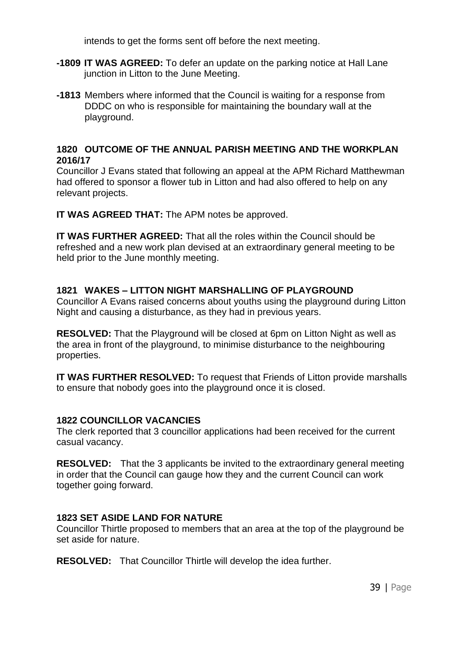intends to get the forms sent off before the next meeting.

- **-1809 IT WAS AGREED:** To defer an update on the parking notice at Hall Lane junction in Litton to the June Meeting.
- **-1813** Members where informed that the Council is waiting for a response from DDDC on who is responsible for maintaining the boundary wall at the playground.

# **1820 OUTCOME OF THE ANNUAL PARISH MEETING AND THE WORKPLAN 2016/17**

Councillor J Evans stated that following an appeal at the APM Richard Matthewman had offered to sponsor a flower tub in Litton and had also offered to help on any relevant projects.

**IT WAS AGREED THAT:** The APM notes be approved.

**IT WAS FURTHER AGREED:** That all the roles within the Council should be refreshed and a new work plan devised at an extraordinary general meeting to be held prior to the June monthly meeting.

# **1821 WAKES – LITTON NIGHT MARSHALLING OF PLAYGROUND**

Councillor A Evans raised concerns about youths using the playground during Litton Night and causing a disturbance, as they had in previous years.

**RESOLVED:** That the Playground will be closed at 6pm on Litton Night as well as the area in front of the playground, to minimise disturbance to the neighbouring properties.

**IT WAS FURTHER RESOLVED:** To request that Friends of Litton provide marshalls to ensure that nobody goes into the playground once it is closed.

# **1822 COUNCILLOR VACANCIES**

The clerk reported that 3 councillor applications had been received for the current casual vacancy.

**RESOLVED:** That the 3 applicants be invited to the extraordinary general meeting in order that the Council can gauge how they and the current Council can work together going forward.

# **1823 SET ASIDE LAND FOR NATURE**

Councillor Thirtle proposed to members that an area at the top of the playground be set aside for nature.

**RESOLVED:** That Councillor Thirtle will develop the idea further.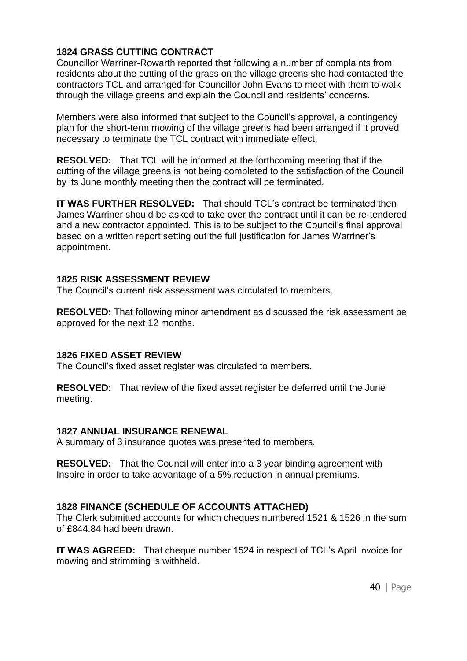# **1824 GRASS CUTTING CONTRACT**

Councillor Warriner-Rowarth reported that following a number of complaints from residents about the cutting of the grass on the village greens she had contacted the contractors TCL and arranged for Councillor John Evans to meet with them to walk through the village greens and explain the Council and residents' concerns.

Members were also informed that subject to the Council's approval, a contingency plan for the short-term mowing of the village greens had been arranged if it proved necessary to terminate the TCL contract with immediate effect.

**RESOLVED:** That TCL will be informed at the forthcoming meeting that if the cutting of the village greens is not being completed to the satisfaction of the Council by its June monthly meeting then the contract will be terminated.

**IT WAS FURTHER RESOLVED:** That should TCL's contract be terminated then James Warriner should be asked to take over the contract until it can be re-tendered and a new contractor appointed. This is to be subject to the Council's final approval based on a written report setting out the full justification for James Warriner's appointment.

#### **1825 RISK ASSESSMENT REVIEW**

The Council's current risk assessment was circulated to members.

**RESOLVED:** That following minor amendment as discussed the risk assessment be approved for the next 12 months.

# **1826 FIXED ASSET REVIEW**

The Council's fixed asset register was circulated to members.

**RESOLVED:** That review of the fixed asset register be deferred until the June meeting.

# **1827 ANNUAL INSURANCE RENEWAL**

A summary of 3 insurance quotes was presented to members.

**RESOLVED:** That the Council will enter into a 3 year binding agreement with Inspire in order to take advantage of a 5% reduction in annual premiums.

# **1828 FINANCE (SCHEDULE OF ACCOUNTS ATTACHED)**

The Clerk submitted accounts for which cheques numbered 1521 & 1526 in the sum of £844.84 had been drawn.

**IT WAS AGREED:** That cheque number 1524 in respect of TCL's April invoice for mowing and strimming is withheld.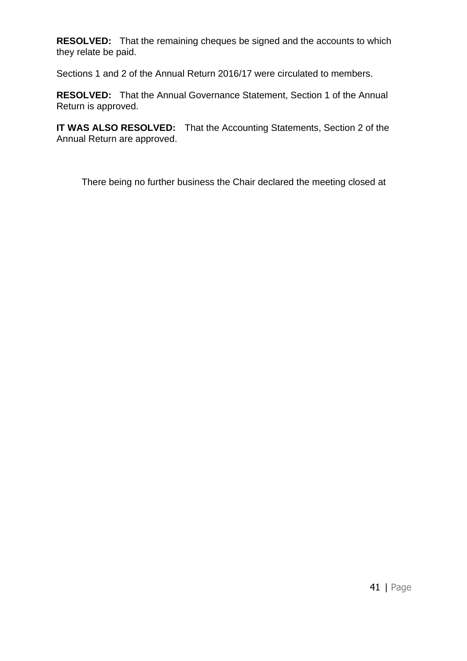**RESOLVED:** That the remaining cheques be signed and the accounts to which they relate be paid.

Sections 1 and 2 of the Annual Return 2016/17 were circulated to members.

**RESOLVED:** That the Annual Governance Statement, Section 1 of the Annual Return is approved.

**IT WAS ALSO RESOLVED:** That the Accounting Statements, Section 2 of the Annual Return are approved.

There being no further business the Chair declared the meeting closed at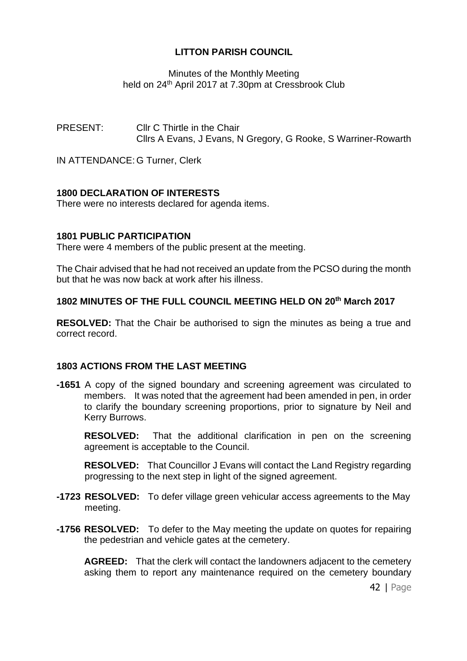Minutes of the Monthly Meeting held on 24<sup>th</sup> April 2017 at 7.30pm at Cressbrook Club

PRESENT: Cllr C Thirtle in the Chair Cllrs A Evans, J Evans, N Gregory, G Rooke, S Warriner-Rowarth

IN ATTENDANCE: G Turner, Clerk

# **1800 DECLARATION OF INTERESTS**

There were no interests declared for agenda items.

#### **1801 PUBLIC PARTICIPATION**

There were 4 members of the public present at the meeting.

The Chair advised that he had not received an update from the PCSO during the month but that he was now back at work after his illness.

# **1802 MINUTES OF THE FULL COUNCIL MEETING HELD ON 20th March 2017**

**RESOLVED:** That the Chair be authorised to sign the minutes as being a true and correct record.

# **1803 ACTIONS FROM THE LAST MEETING**

**-1651** A copy of the signed boundary and screening agreement was circulated to members. It was noted that the agreement had been amended in pen, in order to clarify the boundary screening proportions, prior to signature by Neil and Kerry Burrows.

**RESOLVED:** That the additional clarification in pen on the screening agreement is acceptable to the Council.

**RESOLVED:** That Councillor J Evans will contact the Land Registry regarding progressing to the next step in light of the signed agreement.

- **-1723 RESOLVED:** To defer village green vehicular access agreements to the May meeting.
- **-1756 RESOLVED:** To defer to the May meeting the update on quotes for repairing the pedestrian and vehicle gates at the cemetery.

**AGREED:** That the clerk will contact the landowners adjacent to the cemetery asking them to report any maintenance required on the cemetery boundary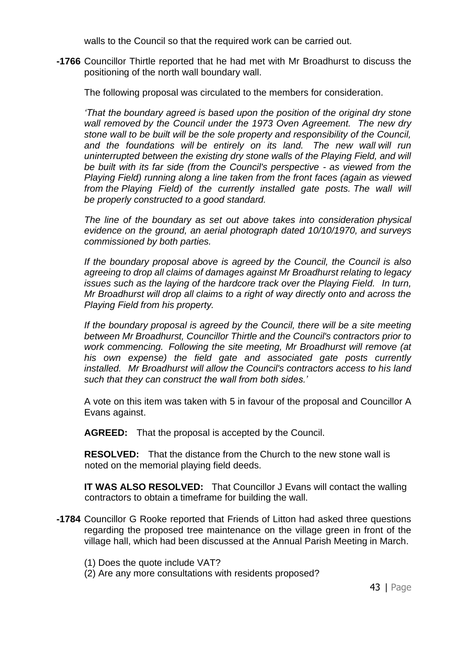walls to the Council so that the required work can be carried out.

**-1766** Councillor Thirtle reported that he had met with Mr Broadhurst to discuss the positioning of the north wall boundary wall.

The following proposal was circulated to the members for consideration.

*'That the boundary agreed is based upon the position of the original dry stone wall removed by the Council under the 1973 Oven Agreement. The new dry stone wall to be built will be the sole property and responsibility of the Council, and the foundations will be entirely on its land. The new wall will run uninterrupted between the existing dry stone walls of the Playing Field, and will be built with its far side (from the Council's perspective - as viewed from the Playing Field) running along a line taken from the front faces (again as viewed from the Playing Field) of the currently installed gate posts. The wall will be properly constructed to a good standard.*

*The line of the boundary as set out above takes into consideration physical evidence on the ground, an aerial photograph dated 10/10/1970, and surveys commissioned by both parties.*

*If the boundary proposal above is agreed by the Council, the Council is also agreeing to drop all claims of damages against Mr Broadhurst relating to legacy issues such as the laying of the hardcore track over the Playing Field. In turn, Mr Broadhurst will drop all claims to a right of way directly onto and across the Playing Field from his property.*

*If the boundary proposal is agreed by the Council, there will be a site meeting between Mr Broadhurst, Councillor Thirtle and the Council's contractors prior to work commencing. Following the site meeting, Mr Broadhurst will remove (at his own expense) the field gate and associated gate posts currently installed. Mr Broadhurst will allow the Council's contractors access to his land such that they can construct the wall from both sides.'*

A vote on this item was taken with 5 in favour of the proposal and Councillor A Evans against.

**AGREED:** That the proposal is accepted by the Council.

**RESOLVED:** That the distance from the Church to the new stone wall is noted on the memorial playing field deeds.

**IT WAS ALSO RESOLVED:** That Councillor J Evans will contact the walling contractors to obtain a timeframe for building the wall.

- **-1784** Councillor G Rooke reported that Friends of Litton had asked three questions regarding the proposed tree maintenance on the village green in front of the village hall, which had been discussed at the Annual Parish Meeting in March.
	- (1) Does the quote include VAT?
	- (2) Are any more consultations with residents proposed?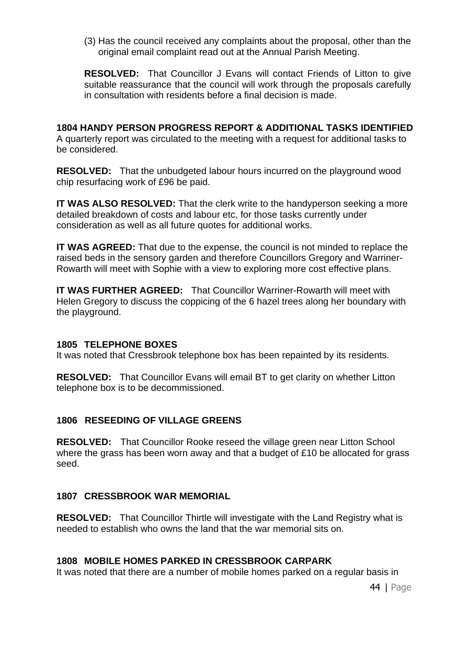(3) Has the council received any complaints about the proposal, other than the original email complaint read out at the Annual Parish Meeting.

**RESOLVED:** That Councillor J Evans will contact Friends of Litton to give suitable reassurance that the council will work through the proposals carefully in consultation with residents before a final decision is made.

**1804 HANDY PERSON PROGRESS REPORT & ADDITIONAL TASKS IDENTIFIED** A quarterly report was circulated to the meeting with a request for additional tasks to be considered.

**RESOLVED:** That the unbudgeted labour hours incurred on the playground wood chip resurfacing work of £96 be paid.

**IT WAS ALSO RESOLVED:** That the clerk write to the handyperson seeking a more detailed breakdown of costs and labour etc, for those tasks currently under consideration as well as all future quotes for additional works.

**IT WAS AGREED:** That due to the expense, the council is not minded to replace the raised beds in the sensory garden and therefore Councillors Gregory and Warriner-Rowarth will meet with Sophie with a view to exploring more cost effective plans.

**IT WAS FURTHER AGREED:** That Councillor Warriner-Rowarth will meet with Helen Gregory to discuss the coppicing of the 6 hazel trees along her boundary with the playground.

#### **1805 TELEPHONE BOXES**

It was noted that Cressbrook telephone box has been repainted by its residents.

**RESOLVED:** That Councillor Evans will email BT to get clarity on whether Litton telephone box is to be decommissioned.

# **1806 RESEEDING OF VILLAGE GREENS**

**RESOLVED:** That Councillor Rooke reseed the village green near Litton School where the grass has been worn away and that a budget of £10 be allocated for grass seed.

#### **1807 CRESSBROOK WAR MEMORIAL**

**RESOLVED:** That Councillor Thirtle will investigate with the Land Registry what is needed to establish who owns the land that the war memorial sits on.

# **1808 MOBILE HOMES PARKED IN CRESSBROOK CARPARK**

It was noted that there are a number of mobile homes parked on a regular basis in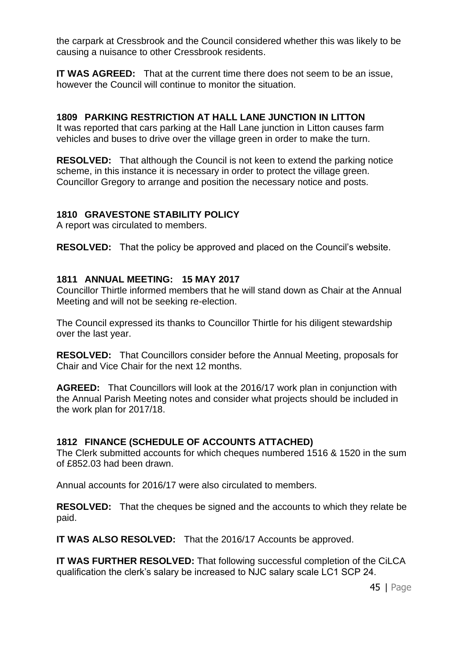the carpark at Cressbrook and the Council considered whether this was likely to be causing a nuisance to other Cressbrook residents.

**IT WAS AGREED:** That at the current time there does not seem to be an issue, however the Council will continue to monitor the situation.

# **1809 PARKING RESTRICTION AT HALL LANE JUNCTION IN LITTON**

It was reported that cars parking at the Hall Lane junction in Litton causes farm vehicles and buses to drive over the village green in order to make the turn.

**RESOLVED:** That although the Council is not keen to extend the parking notice scheme, in this instance it is necessary in order to protect the village green. Councillor Gregory to arrange and position the necessary notice and posts.

# **1810 GRAVESTONE STABILITY POLICY**

A report was circulated to members.

**RESOLVED:** That the policy be approved and placed on the Council's website.

# **1811 ANNUAL MEETING: 15 MAY 2017**

Councillor Thirtle informed members that he will stand down as Chair at the Annual Meeting and will not be seeking re-election.

The Council expressed its thanks to Councillor Thirtle for his diligent stewardship over the last year.

**RESOLVED:** That Councillors consider before the Annual Meeting, proposals for Chair and Vice Chair for the next 12 months.

**AGREED:** That Councillors will look at the 2016/17 work plan in conjunction with the Annual Parish Meeting notes and consider what projects should be included in the work plan for 2017/18.

# **1812 FINANCE (SCHEDULE OF ACCOUNTS ATTACHED)**

The Clerk submitted accounts for which cheques numbered 1516 & 1520 in the sum of £852.03 had been drawn.

Annual accounts for 2016/17 were also circulated to members.

**RESOLVED:** That the cheques be signed and the accounts to which they relate be paid.

**IT WAS ALSO RESOLVED:** That the 2016/17 Accounts be approved.

**IT WAS FURTHER RESOLVED:** That following successful completion of the CiLCA qualification the clerk's salary be increased to NJC salary scale LC1 SCP 24.